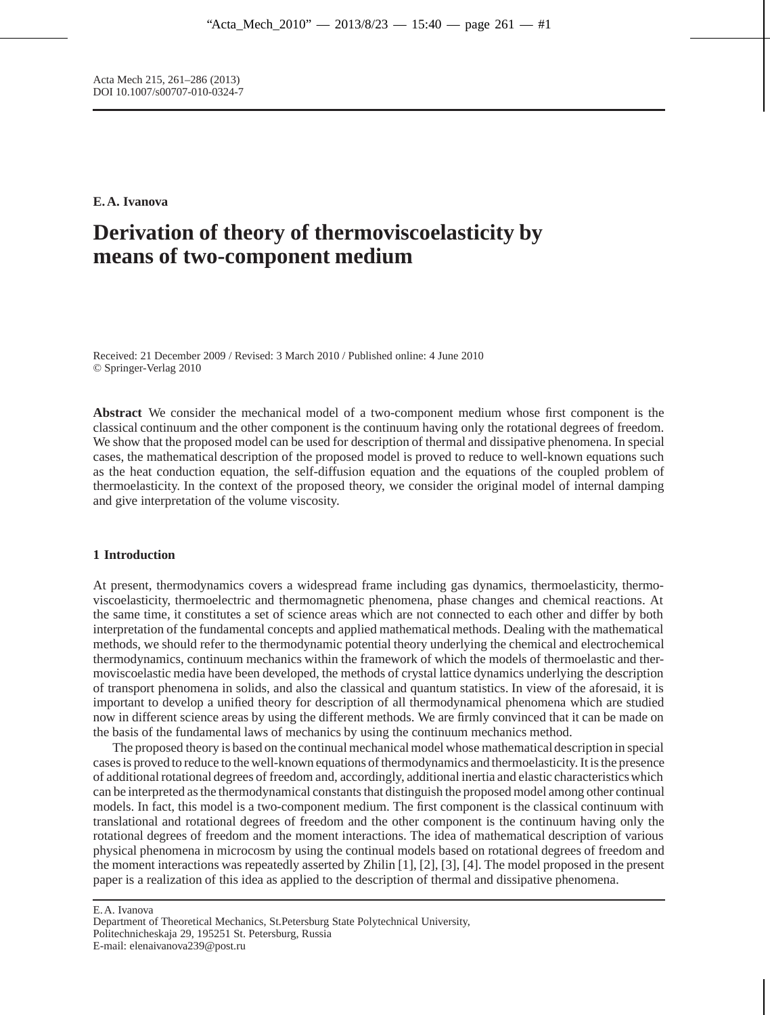Acta Mech 215, 261–286 (2013) DOI 10.1007/s00707-010-0324-7

# **E. A. Ivanova**

# **Derivation of theory of thermoviscoelasticity by means of two-component medium**

Received: 21 December 2009 / Revised: 3 March 2010 / Published online: 4 June 2010 © Springer-Verlag 2010

**Abstract** We consider the mechanical model of a two-component medium whose first component is the classical continuum and the other component is the continuum having only the rotational degrees of freedom. We show that the proposed model can be used for description of thermal and dissipative phenomena. In special cases, the mathematical description of the proposed model is proved to reduce to well-known equations such as the heat conduction equation, the self-diffusion equation and the equations of the coupled problem of thermoelasticity. In the context of the proposed theory, we consider the original model of internal damping and give interpretation of the volume viscosity.

# **1 Introduction**

At present, thermodynamics covers a widespread frame including gas dynamics, thermoelasticity, thermoviscoelasticity, thermoelectric and thermomagnetic phenomena, phase changes and chemical reactions. At the same time, it constitutes a set of science areas which are not connected to each other and differ by both interpretation of the fundamental concepts and applied mathematical methods. Dealing with the mathematical methods, we should refer to the thermodynamic potential theory underlying the chemical and electrochemical thermodynamics, continuum mechanics within the framework of which the models of thermoelastic and thermoviscoelastic media have been developed, the methods of crystal lattice dynamics underlying the description of transport phenomena in solids, and also the classical and quantum statistics. In view of the aforesaid, it is important to develop a unified theory for description of all thermodynamical phenomena which are studied now in different science areas by using the different methods. We are firmly convinced that it can be made on the basis of the fundamental laws of mechanics by using the continuum mechanics method.

The proposed theory is based on the continual mechanical model whose mathematical description in special cases is proved to reduce to the well-known equations of thermodynamics and thermoelasticity. It is the presence of additional rotational degrees of freedom and, accordingly, additional inertia and elastic characteristics which can be interpreted as the thermodynamical constants that distinguish the proposed model among other continual models. In fact, this model is a two-component medium. The first component is the classical continuum with translational and rotational degrees of freedom and the other component is the continuum having only the rotational degrees of freedom and the moment interactions. The idea of mathematical description of various physical phenomena in microcosm by using the continual models based on rotational degrees of freedom and the moment interactions was repeatedly asserted by Zhilin [1], [2], [3], [4]. The model proposed in the present paper is a realization of this idea as applied to the description of thermal and dissipative phenomena.

E.A. Ivanova

Politechnicheskaja 29, 195251 St. Petersburg, Russia

Department of Theoretical Mechanics, St.Petersburg State Polytechnical University,

E-mail: elenaivanova239@post.ru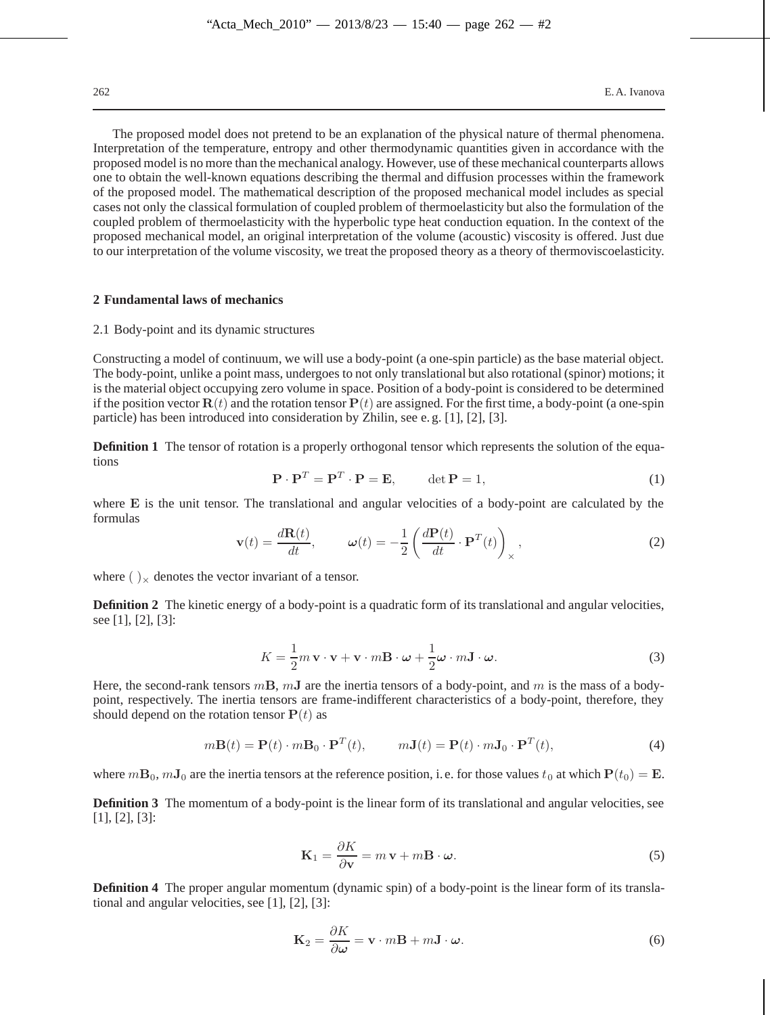The proposed model does not pretend to be an explanation of the physical nature of thermal phenomena. Interpretation of the temperature, entropy and other thermodynamic quantities given in accordance with the proposed model is no more than the mechanical analogy. However, use of these mechanical counterparts allows one to obtain the well-known equations describing the thermal and diffusion processes within the framework of the proposed model. The mathematical description of the proposed mechanical model includes as special cases not only the classical formulation of coupled problem of thermoelasticity but also the formulation of the coupled problem of thermoelasticity with the hyperbolic type heat conduction equation. In the context of the proposed mechanical model, an original interpretation of the volume (acoustic) viscosity is offered. Just due to our interpretation of the volume viscosity, we treat the proposed theory as a theory of thermoviscoelasticity.

## **2 Fundamental laws of mechanics**

# 2.1 Body-point and its dynamic structures

Constructing a model of continuum, we will use a body-point (a one-spin particle) as the base material object. The body-point, unlike a point mass, undergoes to not only translational but also rotational (spinor) motions; it is the material object occupying zero volume in space. Position of a body-point is considered to be determined if the position vector  $\mathbf{R}(t)$  and the rotation tensor  $\mathbf{P}(t)$  are assigned. For the first time, a body-point (a one-spin particle) has been introduced into consideration by Zhilin, see e. g. [1], [2], [3].

**Definition 1** The tensor of rotation is a properly orthogonal tensor which represents the solution of the equations

$$
\mathbf{P} \cdot \mathbf{P}^T = \mathbf{P}^T \cdot \mathbf{P} = \mathbf{E}, \qquad \det \mathbf{P} = 1,
$$
 (1)

where **E** is the unit tensor. The translational and angular velocities of a body-point are calculated by the formulas

$$
\mathbf{v}(t) = \frac{d\mathbf{R}(t)}{dt}, \qquad \boldsymbol{\omega}(t) = -\frac{1}{2} \left( \frac{d\mathbf{P}(t)}{dt} \cdot \mathbf{P}^T(t) \right)_{\times}, \qquad (2)
$$

where ( $\chi$  denotes the vector invariant of a tensor.

**Definition 2** The kinetic energy of a body-point is a quadratic form of its translational and angular velocities, see [1], [2], [3]:

$$
K = \frac{1}{2}m\mathbf{v}\cdot\mathbf{v} + \mathbf{v}\cdot m\mathbf{B}\cdot\boldsymbol{\omega} + \frac{1}{2}\boldsymbol{\omega}\cdot m\mathbf{J}\cdot\boldsymbol{\omega}.
$$
 (3)

Here, the second-rank tensors m**B**, m**J** are the inertia tensors of a body-point, and m is the mass of a bodypoint, respectively. The inertia tensors are frame-indifferent characteristics of a body-point, therefore, they should depend on the rotation tensor  $P(t)$  as

$$
m\mathbf{B}(t) = \mathbf{P}(t) \cdot m\mathbf{B}_0 \cdot \mathbf{P}^T(t), \qquad m\mathbf{J}(t) = \mathbf{P}(t) \cdot m\mathbf{J}_0 \cdot \mathbf{P}^T(t), \tag{4}
$$

where  $m\mathbf{B}_0$ ,  $m\mathbf{J}_0$  are the inertia tensors at the reference position, i.e. for those values  $t_0$  at which  $\mathbf{P}(t_0) = \mathbf{E}$ .

**Definition 3** The momentum of a body-point is the linear form of its translational and angular velocities, see [1], [2], [3]:

$$
\mathbf{K}_1 = \frac{\partial K}{\partial \mathbf{v}} = m \mathbf{v} + m \mathbf{B} \cdot \boldsymbol{\omega}.
$$
 (5)

**Definition 4** The proper angular momentum (dynamic spin) of a body-point is the linear form of its translational and angular velocities, see [1], [2], [3]:

$$
\mathbf{K}_2 = \frac{\partial K}{\partial \boldsymbol{\omega}} = \mathbf{v} \cdot m \mathbf{B} + m \mathbf{J} \cdot \boldsymbol{\omega}.
$$
 (6)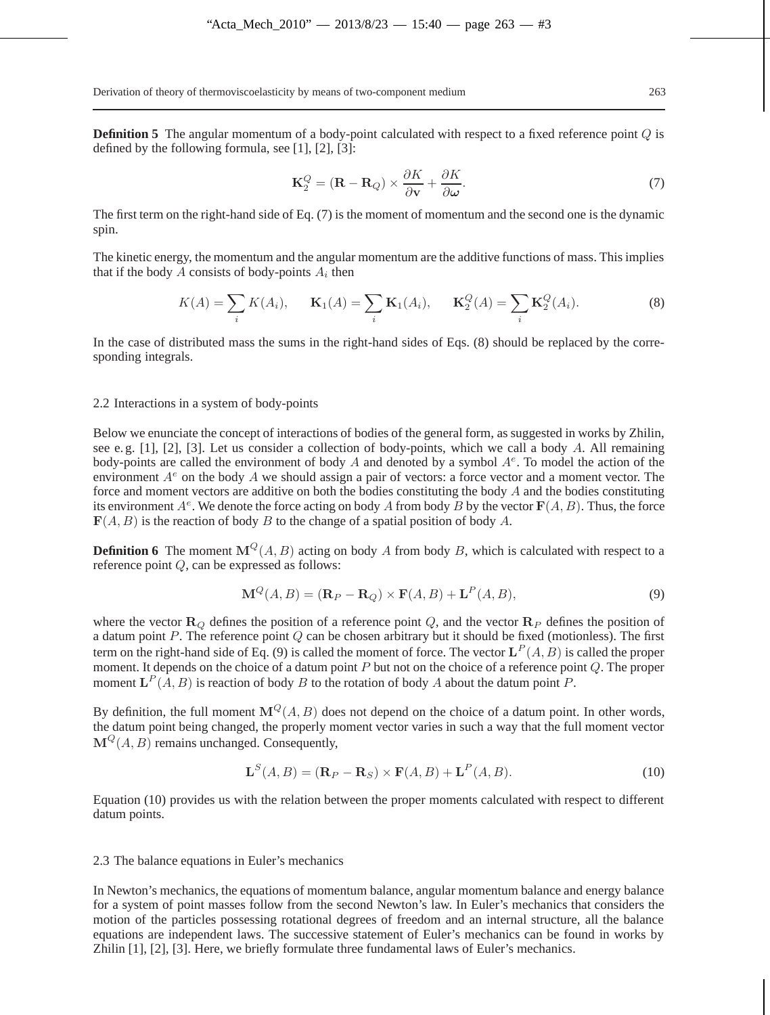**Definition 5** The angular momentum of a body-point calculated with respect to a fixed reference point Q is defined by the following formula, see [1], [2], [3]:

$$
\mathbf{K}_2^Q = (\mathbf{R} - \mathbf{R}_Q) \times \frac{\partial K}{\partial \mathbf{v}} + \frac{\partial K}{\partial \omega}.
$$
 (7)

The first term on the right-hand side of Eq. (7) is the moment of momentum and the second one is the dynamic spin.

The kinetic energy, the momentum and the angular momentum are the additive functions of mass. This implies that if the body  $A$  consists of body-points  $A_i$  then

$$
K(A) = \sum_{i} K(A_i), \quad \mathbf{K}_1(A) = \sum_{i} \mathbf{K}_1(A_i), \quad \mathbf{K}_2^Q(A) = \sum_{i} \mathbf{K}_2^Q(A_i).
$$
 (8)

In the case of distributed mass the sums in the right-hand sides of Eqs. (8) should be replaced by the corresponding integrals.

# 2.2 Interactions in a system of body-points

Below we enunciate the concept of interactions of bodies of the general form, as suggested in works by Zhilin, see e.g.  $[1]$ ,  $[2]$ ,  $[3]$ . Let us consider a collection of body-points, which we call a body A. All remaining body-points are called the environment of body A and denoted by a symbol  $A^e$ . To model the action of the environment  $A^e$  on the body A we should assign a pair of vectors: a force vector and a moment vector. The force and moment vectors are additive on both the bodies constituting the body A and the bodies constituting its environment  $A^e$ . We denote the force acting on body A from body B by the vector  $\mathbf{F}(A, B)$ . Thus, the force  **is the reaction of body B to the change of a spatial position of body A.** 

**Definition 6** The moment  $\mathbf{M}^Q(A, B)$  acting on body A from body B, which is calculated with respect to a reference point Q, can be expressed as follows:

$$
\mathbf{M}^{Q}(A,B) = (\mathbf{R}_{P} - \mathbf{R}_{Q}) \times \mathbf{F}(A,B) + \mathbf{L}^{P}(A,B),
$$
\n(9)

where the vector  $\mathbf{R}_{\mathcal{Q}}$  defines the position of a reference point  $Q$ , and the vector  $\mathbf{R}_{P}$  defines the position of a datum point P. The reference point Q can be chosen arbitrary but it should be fixed (motionless). The first term on the right-hand side of Eq. (9) is called the moment of force. The vector  $L^P(A, B)$  is called the proper moment. It depends on the choice of a datum point P but not on the choice of a reference point Q. The proper moment  $L^P(A, B)$  is reaction of body B to the rotation of body A about the datum point P.

By definition, the full moment  $M^Q(A, B)$  does not depend on the choice of a datum point. In other words, the datum point being changed, the properly moment vector varies in such a way that the full moment vector  $\mathbf{M}^Q(A, B)$  remains unchanged. Consequently,

$$
\mathbf{L}^{S}(A,B) = (\mathbf{R}_{P} - \mathbf{R}_{S}) \times \mathbf{F}(A,B) + \mathbf{L}^{P}(A,B).
$$
 (10)

Equation (10) provides us with the relation between the proper moments calculated with respect to different datum points.

## 2.3 The balance equations in Euler's mechanics

In Newton's mechanics, the equations of momentum balance, angular momentum balance and energy balance for a system of point masses follow from the second Newton's law. In Euler's mechanics that considers the motion of the particles possessing rotational degrees of freedom and an internal structure, all the balance equations are independent laws. The successive statement of Euler's mechanics can be found in works by Zhilin [1], [2], [3]. Here, we briefly formulate three fundamental laws of Euler's mechanics.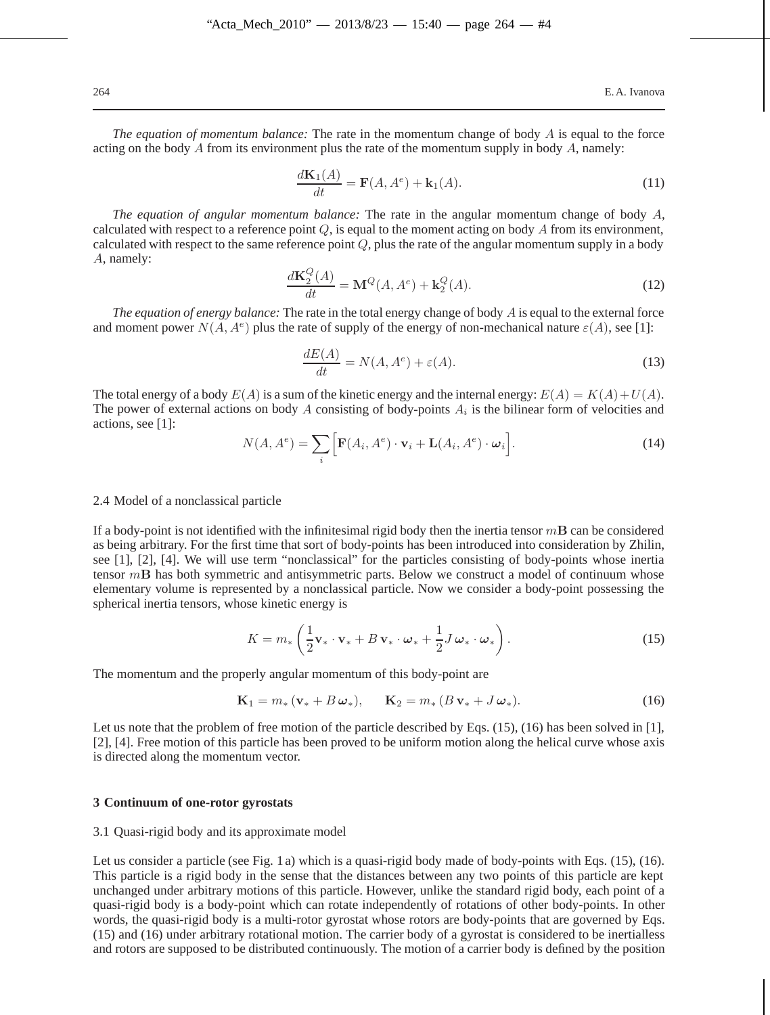*The equation of momentum balance:* The rate in the momentum change of body A is equal to the force acting on the body  $A$  from its environment plus the rate of the momentum supply in body  $A$ , namely:

$$
\frac{d\mathbf{K}_1(A)}{dt} = \mathbf{F}(A, A^e) + \mathbf{k}_1(A). \tag{11}
$$

*The equation of angular momentum balance:* The rate in the angular momentum change of body A, calculated with respect to a reference point  $Q$ , is equal to the moment acting on body  $A$  from its environment, calculated with respect to the same reference point  $Q$ , plus the rate of the angular momentum supply in a body A, namely:

$$
\frac{d\mathbf{K}_2^Q(A)}{dt} = \mathbf{M}^Q(A, A^e) + \mathbf{k}_2^Q(A). \tag{12}
$$

*The equation of energy balance:* The rate in the total energy change of body A is equal to the external force and moment power  $N(A, A^e)$  plus the rate of supply of the energy of non-mechanical nature  $\varepsilon(A)$ , see [1]:

$$
\frac{dE(A)}{dt} = N(A, A^e) + \varepsilon(A). \tag{13}
$$

The total energy of a body  $E(A)$  is a sum of the kinetic energy and the internal energy:  $E(A) = K(A) + U(A)$ . The power of external actions on body A consisting of body-points  $A_i$  is the bilinear form of velocities and actions, see [1]:

$$
N(A, A^e) = \sum_{i} \Big[ \mathbf{F}(A_i, A^e) \cdot \mathbf{v}_i + \mathbf{L}(A_i, A^e) \cdot \boldsymbol{\omega}_i \Big]. \tag{14}
$$

## 2.4 Model of a nonclassical particle

If a body-point is not identified with the infinitesimal rigid body then the inertia tensor  $m\mathbf{B}$  can be considered as being arbitrary. For the first time that sort of body-points has been introduced into consideration by Zhilin, see [1], [2], [4]. We will use term "nonclassical" for the particles consisting of body-points whose inertia tensor m**B** has both symmetric and antisymmetric parts. Below we construct a model of continuum whose elementary volume is represented by a nonclassical particle. Now we consider a body-point possessing the spherical inertia tensors, whose kinetic energy is

$$
K = m_* \left( \frac{1}{2} \mathbf{v}_* \cdot \mathbf{v}_* + B \mathbf{v}_* \cdot \boldsymbol{\omega}_* + \frac{1}{2} J \mathbf{w}_* \cdot \boldsymbol{\omega}_* \right).
$$
 (15)

The momentum and the properly angular momentum of this body-point are

$$
\mathbf{K}_1 = m_* \left( \mathbf{v}_* + B \, \boldsymbol{\omega}_* \right), \qquad \mathbf{K}_2 = m_* \left( B \, \mathbf{v}_* + J \, \boldsymbol{\omega}_* \right). \tag{16}
$$

Let us note that the problem of free motion of the particle described by Eqs. (15), (16) has been solved in [1], [2], [4]. Free motion of this particle has been proved to be uniform motion along the helical curve whose axis is directed along the momentum vector.

# **3 Continuum of one-rotor gyrostats**

#### 3.1 Quasi-rigid body and its approximate model

Let us consider a particle (see Fig. 1 a) which is a quasi-rigid body made of body-points with Eqs. (15), (16). This particle is a rigid body in the sense that the distances between any two points of this particle are kept unchanged under arbitrary motions of this particle. However, unlike the standard rigid body, each point of a quasi-rigid body is a body-point which can rotate independently of rotations of other body-points. In other words, the quasi-rigid body is a multi-rotor gyrostat whose rotors are body-points that are governed by Eqs. (15) and (16) under arbitrary rotational motion. The carrier body of a gyrostat is considered to be inertialless and rotors are supposed to be distributed continuously. The motion of a carrier body is defined by the position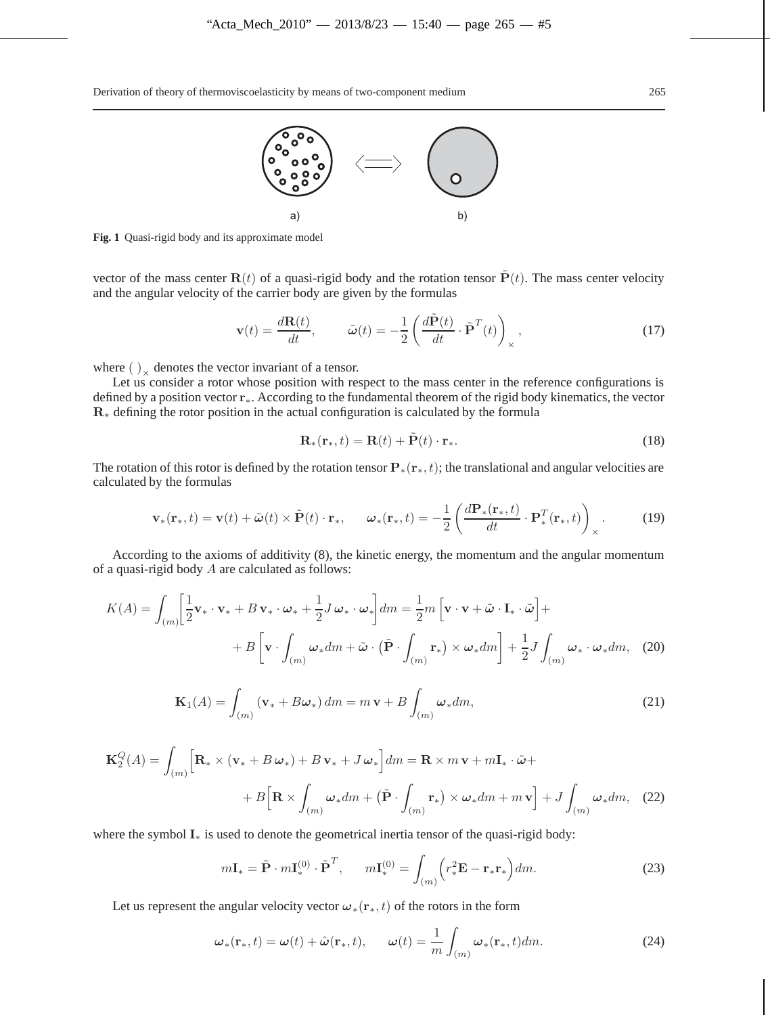

**Fig. 1** Quasi-rigid body and its approximate model

vector of the mass center **R**(t) of a quasi-rigid body and the rotation tensor  $\tilde{P}(t)$ . The mass center velocity and the angular velocity of the carrier body are given by the formulas

$$
\mathbf{v}(t) = \frac{d\mathbf{R}(t)}{dt}, \qquad \tilde{\boldsymbol{\omega}}(t) = -\frac{1}{2} \left( \frac{d\tilde{\mathbf{P}}(t)}{dt} \cdot \tilde{\mathbf{P}}^T(t) \right)_\times,\tag{17}
$$

where ( $\chi$ )<sub>×</sub> denotes the vector invariant of a tensor.

Let us consider a rotor whose position with respect to the mass center in the reference configurations is defined by a position vector **<sup>r</sup>**∗. According to the fundamental theorem of the rigid body kinematics, the vector **<sup>R</sup>**<sup>∗</sup> defining the rotor position in the actual configuration is calculated by the formula

$$
\mathbf{R}_{*}(\mathbf{r}_{*},t) = \mathbf{R}(t) + \tilde{\mathbf{P}}(t) \cdot \mathbf{r}_{*}.
$$
 (18)

The rotation of this rotor is defined by the rotation tensor **<sup>P</sup>**∗(**r**∗, t); the translational and angular velocities are calculated by the formulas

$$
\mathbf{v}_{*}(\mathbf{r}_{*},t) = \mathbf{v}(t) + \tilde{\boldsymbol{\omega}}(t) \times \tilde{\mathbf{P}}(t) \cdot \mathbf{r}_{*}, \qquad \boldsymbol{\omega}_{*}(\mathbf{r}_{*},t) = -\frac{1}{2} \left( \frac{d \mathbf{P}_{*}(\mathbf{r}_{*},t)}{dt} \cdot \mathbf{P}_{*}^{T}(\mathbf{r}_{*},t) \right)_{\times}.
$$
 (19)

According to the axioms of additivity (8), the kinetic energy, the momentum and the angular momentum of a quasi-rigid body A are calculated as follows:

$$
K(A) = \int_{(m)} \left[ \frac{1}{2} \mathbf{v}_* \cdot \mathbf{v}_* + B \mathbf{v}_* \cdot \boldsymbol{\omega}_* + \frac{1}{2} J \mathbf{w}_* \cdot \boldsymbol{\omega}_* \right] dm = \frac{1}{2} m \left[ \mathbf{v} \cdot \mathbf{v} + \tilde{\boldsymbol{\omega}} \cdot \mathbf{I}_* \cdot \tilde{\boldsymbol{\omega}} \right] +
$$
  
+ 
$$
B \left[ \mathbf{v} \cdot \int_{(m)} \boldsymbol{\omega}_* dm + \tilde{\boldsymbol{\omega}} \cdot (\tilde{\mathbf{P}} \cdot \int_{(m)} \mathbf{r}_* \right) \times \boldsymbol{\omega}_* dm \right] + \frac{1}{2} J \int_{(m)} \boldsymbol{\omega}_* \cdot \boldsymbol{\omega}_* dm, \quad (20)
$$

$$
\mathbf{K}_1(A) = \int_{(m)} \left( \mathbf{v}_* + B \boldsymbol{\omega}_* \right) dm = m \, \mathbf{v} + B \int_{(m)} \boldsymbol{\omega}_* dm, \tag{21}
$$

$$
\mathbf{K}_{2}^{Q}(A) = \int_{(m)} \Big[ \mathbf{R}_{*} \times (\mathbf{v}_{*} + B \omega_{*}) + B \mathbf{v}_{*} + J \omega_{*} \Big] dm = \mathbf{R} \times m \mathbf{v} + m \mathbf{I}_{*} \cdot \tilde{\omega} +
$$

$$
+ B \Big[ \mathbf{R} \times \int_{(m)} \omega_{*} dm + \left( \tilde{\mathbf{P}} \cdot \int_{(m)} \mathbf{r}_{*} \right) \times \omega_{*} dm + m \mathbf{v} \Big] + J \int_{(m)} \omega_{*} dm, \quad (22)
$$

where the symbol **<sup>I</sup>**<sup>∗</sup> is used to denote the geometrical inertia tensor of the quasi-rigid body:

$$
m\mathbf{I}_{*} = \tilde{\mathbf{P}} \cdot m\mathbf{I}_{*}^{(0)} \cdot \tilde{\mathbf{P}}^{T}, \qquad m\mathbf{I}_{*}^{(0)} = \int_{(m)} \left( r_{*}^{2} \mathbf{E} - \mathbf{r}_{*} \mathbf{r}_{*} \right) dm. \tag{23}
$$

Let us represent the angular velocity vector  $\omega_*(\mathbf{r}_*, t)$  of the rotors in the form

$$
\boldsymbol{\omega}_{*}(\mathbf{r}_{*},t) = \boldsymbol{\omega}(t) + \hat{\boldsymbol{\omega}}(\mathbf{r}_{*},t), \qquad \boldsymbol{\omega}(t) = \frac{1}{m} \int_{(m)} \boldsymbol{\omega}_{*}(\mathbf{r}_{*},t) dm. \tag{24}
$$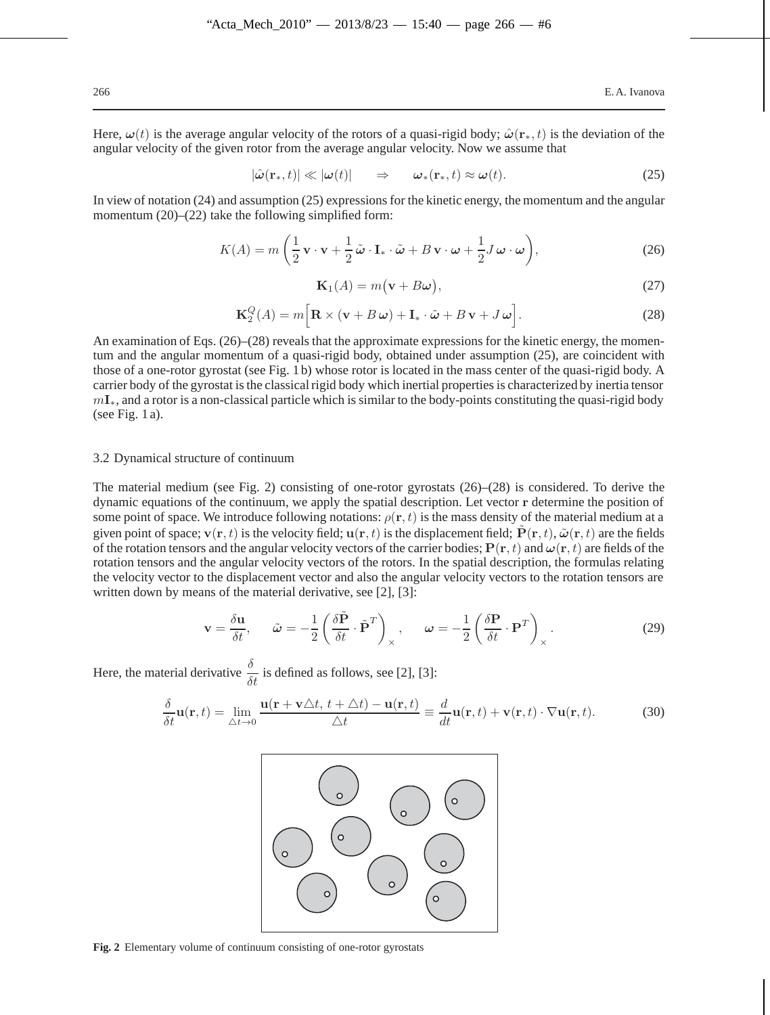Here,  $\omega(t)$  is the average angular velocity of the rotors of a quasi-rigid body;  $\hat{\omega}(\mathbf{r}_*, t)$  is the deviation of the angular velocity of the given rotor from the average angular velocity. Now we assume that

$$
|\hat{\boldsymbol{\omega}}(\mathbf{r}_*,t)| \ll |\boldsymbol{\omega}(t)| \qquad \Rightarrow \qquad \boldsymbol{\omega}_*(\mathbf{r}_*,t) \approx \boldsymbol{\omega}(t). \tag{25}
$$

In view of notation (24) and assumption (25) expressions for the kinetic energy, the momentum and the angular momentum (20)–(22) take the following simplified form:

$$
K(A) = m\left(\frac{1}{2}\mathbf{v}\cdot\mathbf{v} + \frac{1}{2}\tilde{\boldsymbol{\omega}}\cdot\mathbf{I}_* \cdot \tilde{\boldsymbol{\omega}} + B\mathbf{v}\cdot\boldsymbol{\omega} + \frac{1}{2}J\boldsymbol{\omega}\cdot\boldsymbol{\omega}\right),
$$
 (26)

$$
\mathbf{K}_1(A) = m(\mathbf{v} + B\boldsymbol{\omega}),\tag{27}
$$

$$
\mathbf{K}_2^Q(A) = m \Big[ \mathbf{R} \times (\mathbf{v} + B \,\boldsymbol{\omega}) + \mathbf{I}_* \cdot \tilde{\boldsymbol{\omega}} + B \,\mathbf{v} + J \,\boldsymbol{\omega} \Big]. \tag{28}
$$

An examination of Eqs. (26)–(28) reveals that the approximate expressions for the kinetic energy, the momentum and the angular momentum of a quasi-rigid body, obtained under assumption (25), are coincident with those of a one-rotor gyrostat (see Fig. 1 b) whose rotor is located in the mass center of the quasi-rigid body. A carrier body of the gyrostat is the classical rigid body which inertial properties is characterized by inertia tensor <sup>m</sup>**I**∗, and a rotor is a non-classical particle which is similar to the body-points constituting the quasi-rigid body (see Fig. 1 a).

## 3.2 Dynamical structure of continuum

The material medium (see Fig. 2) consisting of one-rotor gyrostats (26)–(28) is considered. To derive the dynamic equations of the continuum, we apply the spatial description. Let vector **r** determine the position of some point of space. We introduce following notations:  $\rho(\mathbf{r}, t)$  is the mass density of the material medium at a given point of space;  $\mathbf{v}(\mathbf{r}, t)$  is the velocity field;  $\mathbf{u}(\mathbf{r}, t)$  is the displacement field;  $\tilde{\mathbf{P}}(\mathbf{r}, t)$ ,  $\tilde{\boldsymbol{\omega}}(\mathbf{r}, t)$  are the fields of the rotation tensors and the angular velocity vectors of the carrier bodies;  $P(\mathbf{r}, t)$  and  $\omega(\mathbf{r}, t)$  are fields of the rotation tensors and the angular velocity vectors of the rotors. In the spatial description, the formulas relating the velocity vector to the displacement vector and also the angular velocity vectors to the rotation tensors are written down by means of the material derivative, see [2], [3]:

$$
\mathbf{v} = \frac{\delta \mathbf{u}}{\delta t}, \qquad \tilde{\boldsymbol{\omega}} = -\frac{1}{2} \left( \frac{\delta \tilde{\mathbf{P}}}{\delta t} \cdot \tilde{\mathbf{P}}^T \right)_{\times}, \qquad \boldsymbol{\omega} = -\frac{1}{2} \left( \frac{\delta \mathbf{P}}{\delta t} \cdot \mathbf{P}^T \right)_{\times}.
$$
 (29)

Here, the material derivative  $\frac{\delta}{\delta t}$  is defined as follows, see [2], [3]:

$$
\frac{\delta}{\delta t}\mathbf{u}(\mathbf{r},t) = \lim_{\Delta t \to 0} \frac{\mathbf{u}(\mathbf{r} + \mathbf{v}\Delta t, t + \Delta t) - \mathbf{u}(\mathbf{r},t)}{\Delta t} \equiv \frac{d}{dt}\mathbf{u}(\mathbf{r},t) + \mathbf{v}(\mathbf{r},t) \cdot \nabla \mathbf{u}(\mathbf{r},t).
$$
(30)



**Fig. 2** Elementary volume of continuum consisting of one-rotor gyrostats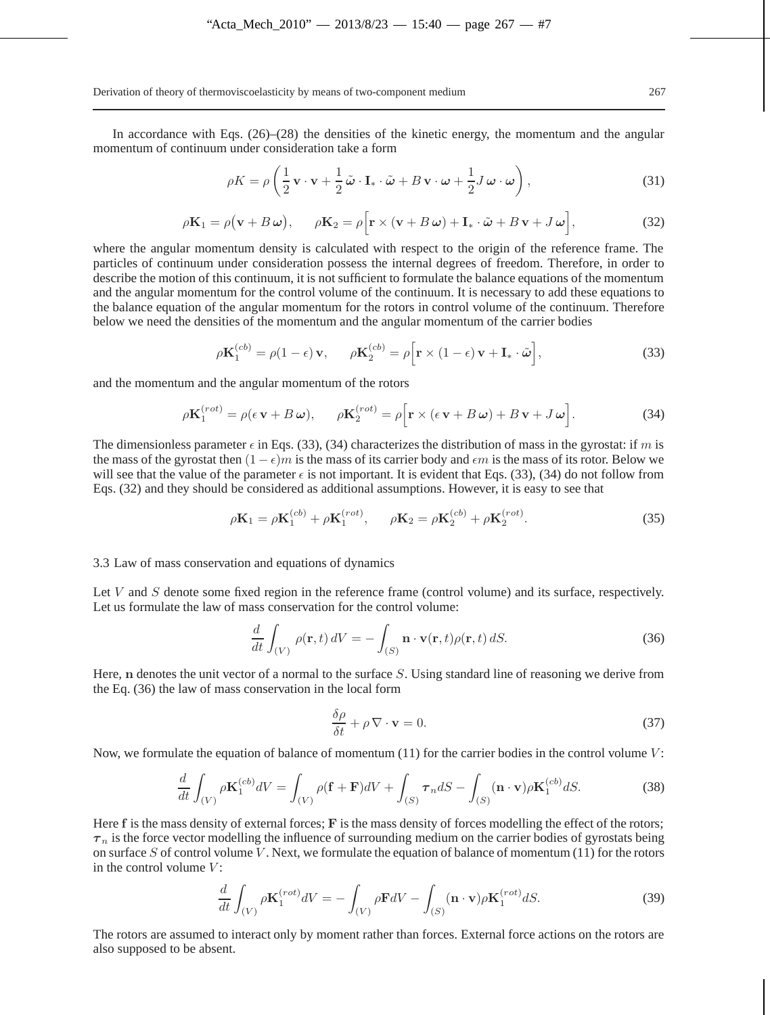In accordance with Eqs.  $(26)$ – $(28)$  the densities of the kinetic energy, the momentum and the angular momentum of continuum under consideration take a form

$$
\rho K = \rho \left( \frac{1}{2} \mathbf{v} \cdot \mathbf{v} + \frac{1}{2} \tilde{\boldsymbol{\omega}} \cdot \mathbf{I}_* \cdot \tilde{\boldsymbol{\omega}} + B \mathbf{v} \cdot \boldsymbol{\omega} + \frac{1}{2} J \boldsymbol{\omega} \cdot \boldsymbol{\omega} \right),\tag{31}
$$

$$
\rho \mathbf{K}_1 = \rho (\mathbf{v} + B \boldsymbol{\omega}), \qquad \rho \mathbf{K}_2 = \rho \Big[ \mathbf{r} \times (\mathbf{v} + B \boldsymbol{\omega}) + \mathbf{I}_* \cdot \tilde{\boldsymbol{\omega}} + B \mathbf{v} + J \boldsymbol{\omega} \Big], \tag{32}
$$

where the angular momentum density is calculated with respect to the origin of the reference frame. The particles of continuum under consideration possess the internal degrees of freedom. Therefore, in order to describe the motion of this continuum, it is not sufficient to formulate the balance equations of the momentum and the angular momentum for the control volume of the continuum. It is necessary to add these equations to the balance equation of the angular momentum for the rotors in control volume of the continuum. Therefore below we need the densities of the momentum and the angular momentum of the carrier bodies

$$
\rho \mathbf{K}_1^{(cb)} = \rho (1 - \epsilon) \mathbf{v}, \qquad \rho \mathbf{K}_2^{(cb)} = \rho \Big[ \mathbf{r} \times (1 - \epsilon) \mathbf{v} + \mathbf{I}_* \cdot \tilde{\boldsymbol{\omega}} \Big], \tag{33}
$$

and the momentum and the angular momentum of the rotors

$$
\rho \mathbf{K}_1^{(rot)} = \rho (\epsilon \mathbf{v} + B \boldsymbol{\omega}), \qquad \rho \mathbf{K}_2^{(rot)} = \rho \Big[ \mathbf{r} \times (\epsilon \mathbf{v} + B \boldsymbol{\omega}) + B \mathbf{v} + J \boldsymbol{\omega} \Big]. \tag{34}
$$

The dimensionless parameter  $\epsilon$  in Eqs. (33), (34) characterizes the distribution of mass in the gyrostat: if m is the mass of the gyrostat then  $(1 - \epsilon)m$  is the mass of its carrier body and  $\epsilon m$  is the mass of its rotor. Below we will see that the value of the parameter  $\epsilon$  is not important. It is evident that Eqs. (33), (34) do not follow from Eqs. (32) and they should be considered as additional assumptions. However, it is easy to see that

$$
\rho \mathbf{K}_1 = \rho \mathbf{K}_1^{(cb)} + \rho \mathbf{K}_1^{(rot)}, \qquad \rho \mathbf{K}_2 = \rho \mathbf{K}_2^{(cb)} + \rho \mathbf{K}_2^{(rot)}.
$$
 (35)

# 3.3 Law of mass conservation and equations of dynamics

Let V and S denote some fixed region in the reference frame (control volume) and its surface, respectively. Let us formulate the law of mass conservation for the control volume:

$$
\frac{d}{dt} \int_{(V)} \rho(\mathbf{r}, t) dV = - \int_{(S)} \mathbf{n} \cdot \mathbf{v}(\mathbf{r}, t) \rho(\mathbf{r}, t) dS.
$$
\n(36)

Here, **n** denotes the unit vector of a normal to the surface S. Using standard line of reasoning we derive from the Eq. (36) the law of mass conservation in the local form

$$
\frac{\delta \rho}{\delta t} + \rho \nabla \cdot \mathbf{v} = 0. \tag{37}
$$

Now, we formulate the equation of balance of momentum  $(11)$  for the carrier bodies in the control volume  $V$ :

$$
\frac{d}{dt} \int_{(V)} \rho \mathbf{K}_1^{(cb)} dV = \int_{(V)} \rho(\mathbf{f} + \mathbf{F}) dV + \int_{(S)} \tau_n dS - \int_{(S)} (\mathbf{n} \cdot \mathbf{v}) \rho \mathbf{K}_1^{(cb)} dS. \tag{38}
$$

Here **f** is the mass density of external forces; **F** is the mass density of forces modelling the effect of the rotors;  $\tau_n$  is the force vector modelling the influence of surrounding medium on the carrier bodies of gyrostats being on surface S of control volume V. Next, we formulate the equation of balance of momentum (11) for the rotors in the control volume  $V$ :

$$
\frac{d}{dt} \int_{(V)} \rho \mathbf{K}_1^{(rot)} dV = - \int_{(V)} \rho \mathbf{F} dV - \int_{(S)} (\mathbf{n} \cdot \mathbf{v}) \rho \mathbf{K}_1^{(rot)} dS. \tag{39}
$$

The rotors are assumed to interact only by moment rather than forces. External force actions on the rotors are also supposed to be absent.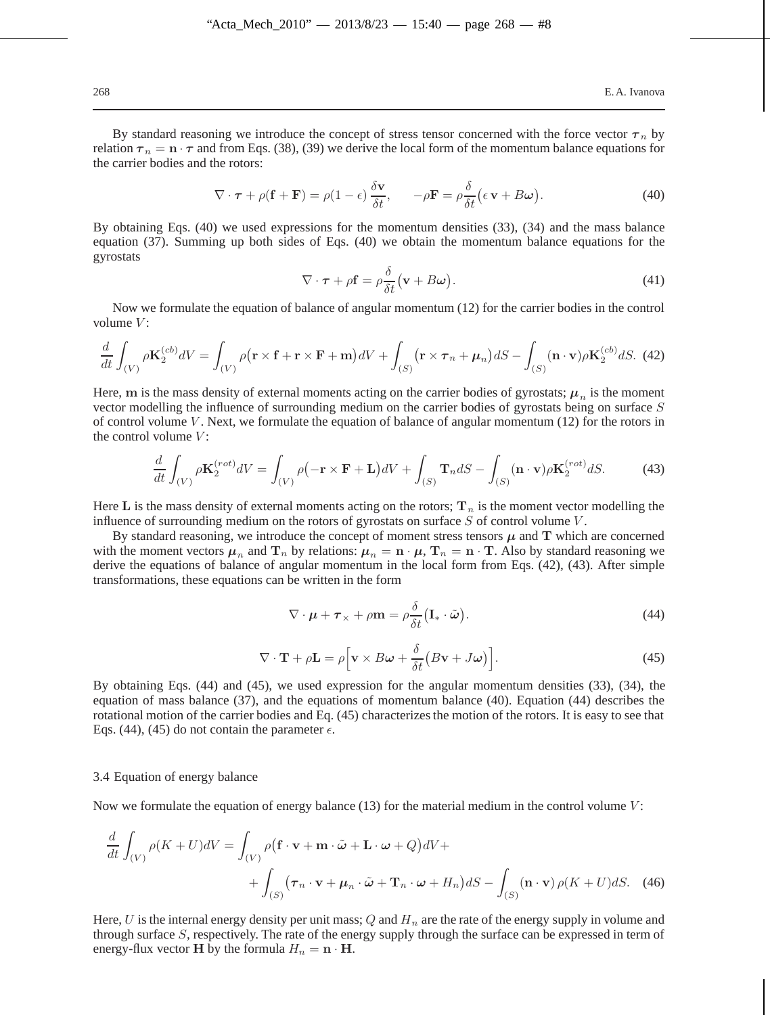By standard reasoning we introduce the concept of stress tensor concerned with the force vector  $\tau_n$  by relation  $\tau_n = \mathbf{n} \cdot \tau$  and from Eqs. (38), (39) we derive the local form of the momentum balance equations for the carrier bodies and the rotors:

$$
\nabla \cdot \boldsymbol{\tau} + \rho (\mathbf{f} + \mathbf{F}) = \rho (1 - \epsilon) \frac{\delta \mathbf{v}}{\delta t}, \qquad -\rho \mathbf{F} = \rho \frac{\delta}{\delta t} (\epsilon \mathbf{v} + B \boldsymbol{\omega}). \tag{40}
$$

By obtaining Eqs. (40) we used expressions for the momentum densities (33), (34) and the mass balance equation (37). Summing up both sides of Eqs. (40) we obtain the momentum balance equations for the gyrostats

$$
\nabla \cdot \boldsymbol{\tau} + \rho \mathbf{f} = \rho \frac{\delta}{\delta t} (\mathbf{v} + B\boldsymbol{\omega}). \tag{41}
$$

Now we formulate the equation of balance of angular momentum (12) for the carrier bodies in the control volume  $V$ :

$$
\frac{d}{dt} \int_{(V)} \rho \mathbf{K}_2^{(cb)} dV = \int_{(V)} \rho (\mathbf{r} \times \mathbf{f} + \mathbf{r} \times \mathbf{F} + \mathbf{m}) dV + \int_{(S)} (\mathbf{r} \times \boldsymbol{\tau}_n + \boldsymbol{\mu}_n) dS - \int_{(S)} (\mathbf{n} \cdot \mathbf{v}) \rho \mathbf{K}_2^{(cb)} dS. \tag{42}
$$

Here, **m** is the mass density of external moments acting on the carrier bodies of gyrostats;  $\mu_n$  is the moment vector modelling the influence of surrounding medium on the carrier bodies of gyrostats being on surface S of control volume V. Next, we formulate the equation of balance of angular momentum  $(12)$  for the rotors in the control volume  $V$ :

$$
\frac{d}{dt} \int_{(V)} \rho \mathbf{K}_2^{(rot)} dV = \int_{(V)} \rho (-\mathbf{r} \times \mathbf{F} + \mathbf{L}) dV + \int_{(S)} \mathbf{T}_n dS - \int_{(S)} (\mathbf{n} \cdot \mathbf{v}) \rho \mathbf{K}_2^{(rot)} dS. \tag{43}
$$

Here **L** is the mass density of external moments acting on the rotors;  $T_n$  is the moment vector modelling the influence of surrounding medium on the rotors of gyrostats on surface  $S$  of control volume  $V$ .

By standard reasoning, we introduce the concept of moment stress tensors  $\mu$  and  $\text{T}$  which are concerned with the moment vectors  $\mu_n$  and  $\mathbf{T}_n$  by relations:  $\mu_n = \mathbf{n} \cdot \mu$ ,  $\mathbf{T}_n = \mathbf{n} \cdot \mathbf{T}$ . Also by standard reasoning we derive the equations of balance of angular momentum in the local form from Eqs. (42), (43). After simple transformations, these equations can be written in the form

$$
\nabla \cdot \boldsymbol{\mu} + \boldsymbol{\tau}_{\times} + \rho \mathbf{m} = \rho \frac{\delta}{\delta t} \big( \mathbf{I}_{*} \cdot \tilde{\boldsymbol{\omega}} \big). \tag{44}
$$

$$
\nabla \cdot \mathbf{T} + \rho \mathbf{L} = \rho \Big[ \mathbf{v} \times B \boldsymbol{\omega} + \frac{\delta}{\delta t} \big( B \mathbf{v} + J \boldsymbol{\omega} \big) \Big]. \tag{45}
$$

By obtaining Eqs. (44) and (45), we used expression for the angular momentum densities (33), (34), the equation of mass balance (37), and the equations of momentum balance (40). Equation (44) describes the rotational motion of the carrier bodies and Eq. (45) characterizes the motion of the rotors. It is easy to see that Eqs. (44), (45) do not contain the parameter  $\epsilon$ .

#### 3.4 Equation of energy balance

Now we formulate the equation of energy balance  $(13)$  for the material medium in the control volume  $V$ :

$$
\frac{d}{dt} \int_{(V)} \rho (K+U) dV = \int_{(V)} \rho (\mathbf{f} \cdot \mathbf{v} + \mathbf{m} \cdot \tilde{\boldsymbol{\omega}} + \mathbf{L} \cdot \boldsymbol{\omega} + Q) dV +
$$

$$
+ \int_{(S)} (\boldsymbol{\tau}_n \cdot \mathbf{v} + \boldsymbol{\mu}_n \cdot \tilde{\boldsymbol{\omega}} + \mathbf{T}_n \cdot \boldsymbol{\omega} + H_n) dS - \int_{(S)} (\mathbf{n} \cdot \mathbf{v}) \rho (K+U) dS. \quad (46)
$$

Here, U is the internal energy density per unit mass; Q and  $H_n$  are the rate of the energy supply in volume and through surface S, respectively. The rate of the energy supply through the surface can be expressed in term of energy-flux vector **H** by the formula  $H_n = \mathbf{n} \cdot \mathbf{H}$ .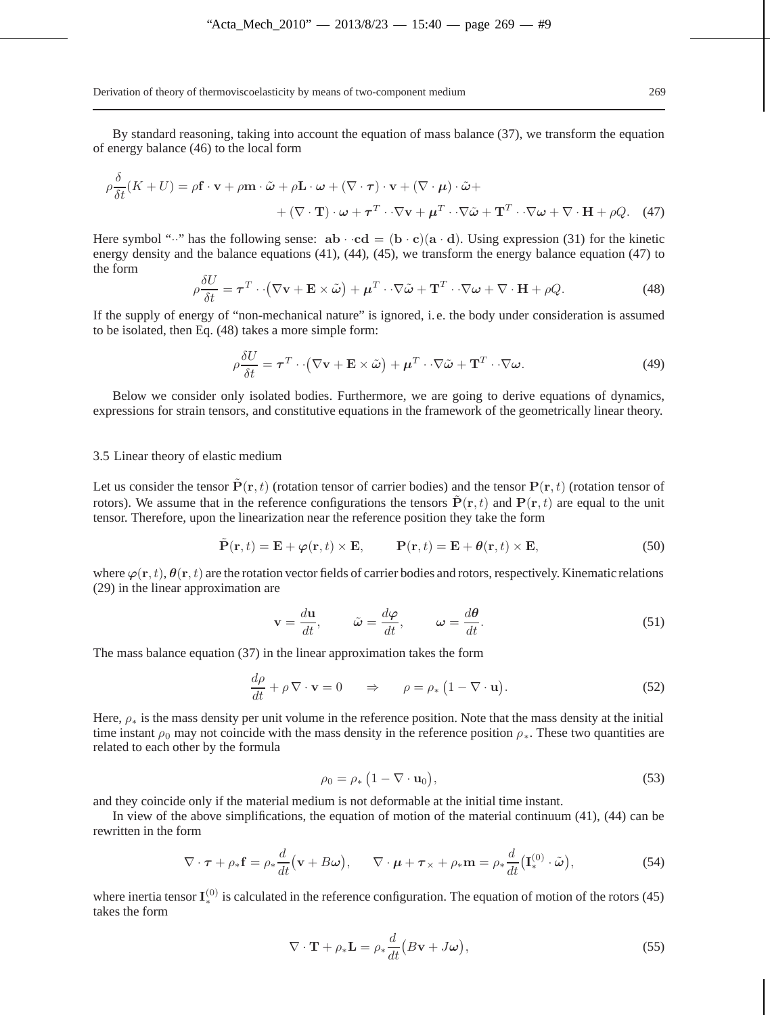By standard reasoning, taking into account the equation of mass balance (37), we transform the equation of energy balance (46) to the local form

$$
\rho \frac{\delta}{\delta t}(K+U) = \rho \mathbf{f} \cdot \mathbf{v} + \rho \mathbf{m} \cdot \tilde{\boldsymbol{\omega}} + \rho \mathbf{L} \cdot \boldsymbol{\omega} + (\nabla \cdot \boldsymbol{\tau}) \cdot \mathbf{v} + (\nabla \cdot \boldsymbol{\mu}) \cdot \tilde{\boldsymbol{\omega}} +
$$
  
+ (\nabla \cdot \mathbf{T}) \cdot \boldsymbol{\omega} + \boldsymbol{\tau}^T \cdot \nabla \mathbf{v} + \boldsymbol{\mu}^T \cdot \nabla \tilde{\boldsymbol{\omega}} + \mathbf{T}^T \cdot \nabla \boldsymbol{\omega} + \nabla \cdot \mathbf{H} + \rho Q. (47)

Here symbol " $\cdots$ " has the following sense:  $ab \cdot cd = (b \cdot c)(a \cdot d)$ . Using expression (31) for the kinetic energy density and the balance equations (41), (44), (45), we transform the energy balance equation (47) to the form

$$
\rho \frac{\delta U}{\delta t} = \boldsymbol{\tau}^T \cdot \left( \nabla \mathbf{v} + \mathbf{E} \times \tilde{\boldsymbol{\omega}} \right) + \boldsymbol{\mu}^T \cdot \nabla \tilde{\boldsymbol{\omega}} + \mathbf{T}^T \cdot \nabla \boldsymbol{\omega} + \nabla \cdot \mathbf{H} + \rho Q. \tag{48}
$$

If the supply of energy of "non-mechanical nature" is ignored, i. e. the body under consideration is assumed to be isolated, then Eq. (48) takes a more simple form:

$$
\rho \frac{\delta U}{\delta t} = \boldsymbol{\tau}^T \cdot \left( \nabla \mathbf{v} + \mathbf{E} \times \tilde{\boldsymbol{\omega}} \right) + \boldsymbol{\mu}^T \cdot \nabla \tilde{\boldsymbol{\omega}} + \mathbf{T}^T \cdot \nabla \boldsymbol{\omega}.
$$
\n(49)

Below we consider only isolated bodies. Furthermore, we are going to derive equations of dynamics, expressions for strain tensors, and constitutive equations in the framework of the geometrically linear theory.

## 3.5 Linear theory of elastic medium

Let us consider the tensor  $\tilde{P}$ (**r**, t) (rotation tensor of carrier bodies) and the tensor  $P$ (**r**, t) (rotation tensor of rotors). We assume that in the reference configurations the tensors  $\tilde{P}(\mathbf{r}, t)$  and  $P(\mathbf{r}, t)$  are equal to the unit tensor. Therefore, upon the linearization near the reference position they take the form

$$
\tilde{\mathbf{P}}(\mathbf{r},t) = \mathbf{E} + \boldsymbol{\varphi}(\mathbf{r},t) \times \mathbf{E}, \qquad \mathbf{P}(\mathbf{r},t) = \mathbf{E} + \boldsymbol{\theta}(\mathbf{r},t) \times \mathbf{E}, \tag{50}
$$

where  $\varphi(\mathbf{r},t)$ ,  $\theta(\mathbf{r},t)$  are the rotation vector fields of carrier bodies and rotors, respectively. Kinematic relations (29) in the linear approximation are

$$
\mathbf{v} = \frac{d\mathbf{u}}{dt}, \qquad \tilde{\boldsymbol{\omega}} = \frac{d\boldsymbol{\varphi}}{dt}, \qquad \boldsymbol{\omega} = \frac{d\boldsymbol{\theta}}{dt}.
$$
 (51)

The mass balance equation (37) in the linear approximation takes the form

$$
\frac{d\rho}{dt} + \rho \nabla \cdot \mathbf{v} = 0 \quad \Rightarrow \quad \rho = \rho_* \left( 1 - \nabla \cdot \mathbf{u} \right). \tag{52}
$$

Here,  $\rho_*$  is the mass density per unit volume in the reference position. Note that the mass density at the initial time instant  $\rho_0$  may not coincide with the mass density in the reference position  $\rho_*$ . These two quantities are related to each other by the formula

$$
\rho_0 = \rho_* \left( 1 - \nabla \cdot \mathbf{u}_0 \right),\tag{53}
$$

and they coincide only if the material medium is not deformable at the initial time instant.

In view of the above simplifications, the equation of motion of the material continuum (41), (44) can be rewritten in the form

$$
\nabla \cdot \boldsymbol{\tau} + \rho_* \mathbf{f} = \rho_* \frac{d}{dt} (\mathbf{v} + B\boldsymbol{\omega}), \qquad \nabla \cdot \boldsymbol{\mu} + \boldsymbol{\tau}_* + \rho_* \mathbf{m} = \rho_* \frac{d}{dt} (\mathbf{I}_*^{(0)} \cdot \tilde{\boldsymbol{\omega}}), \tag{54}
$$

where inertia tensor  $I_{*}^{(0)}$  is calculated in the reference configuration. The equation of motion of the rotors (45) takes the form

$$
\nabla \cdot \mathbf{T} + \rho_* \mathbf{L} = \rho_* \frac{d}{dt} \big( B \mathbf{v} + J \boldsymbol{\omega} \big),\tag{55}
$$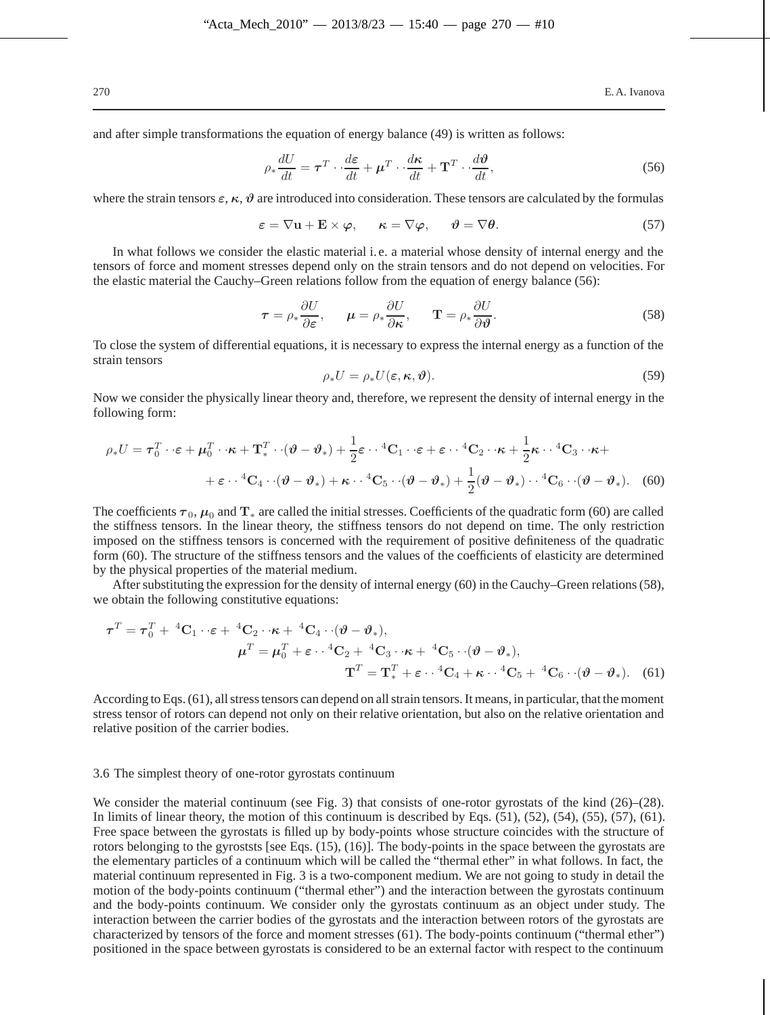and after simple transformations the equation of energy balance (49) is written as follows:

$$
\rho_* \frac{dU}{dt} = \boldsymbol{\tau}^T \cdot \frac{d\boldsymbol{\varepsilon}}{dt} + \boldsymbol{\mu}^T \cdot \frac{d\boldsymbol{\kappa}}{dt} + \mathbf{T}^T \cdot \frac{d\boldsymbol{\vartheta}}{dt},\tag{56}
$$

where the strain tensors  $\varepsilon$ ,  $\kappa$ ,  $\vartheta$  are introduced into consideration. These tensors are calculated by the formulas

$$
\varepsilon = \nabla \mathbf{u} + \mathbf{E} \times \boldsymbol{\varphi}, \qquad \kappa = \nabla \boldsymbol{\varphi}, \qquad \boldsymbol{\vartheta} = \nabla \boldsymbol{\theta}.
$$
 (57)

In what follows we consider the elastic material i. e. a material whose density of internal energy and the tensors of force and moment stresses depend only on the strain tensors and do not depend on velocities. For the elastic material the Cauchy–Green relations follow from the equation of energy balance (56):

$$
\tau = \rho_* \frac{\partial U}{\partial \varepsilon}, \qquad \mu = \rho_* \frac{\partial U}{\partial \kappa}, \qquad \mathbf{T} = \rho_* \frac{\partial U}{\partial \vartheta}.
$$
 (58)

To close the system of differential equations, it is necessary to express the internal energy as a function of the strain tensors

$$
\rho_* U = \rho_* U(\varepsilon, \kappa, \vartheta). \tag{59}
$$

Now we consider the physically linear theory and, therefore, we represent the density of internal energy in the following form:

$$
\rho_* U = \boldsymbol{\tau}_0^T \cdot \boldsymbol{\epsilon} + \boldsymbol{\mu}_0^T \cdot \boldsymbol{\kappa} + \mathbf{T}_*^T \cdot (\boldsymbol{\vartheta} - \boldsymbol{\vartheta}_*) + \frac{1}{2} \boldsymbol{\epsilon} \cdot \boldsymbol{\vartheta}_1 \cdot \boldsymbol{\epsilon} + \boldsymbol{\epsilon} \cdot \boldsymbol{\vartheta}_2 \cdot \boldsymbol{\kappa} + \frac{1}{2} \boldsymbol{\kappa} \cdot \boldsymbol{\vartheta}_3 \cdot \boldsymbol{\kappa} + \boldsymbol{\epsilon} \cdot \boldsymbol{\vartheta}_4 \cdot \boldsymbol{\vartheta}_4 \cdot \boldsymbol{\vartheta}_5 \cdot \boldsymbol{\vartheta}_5 \cdot \boldsymbol{\vartheta}_6 \cdot \boldsymbol{\vartheta}_7 + \boldsymbol{\vartheta}_5 \cdot \boldsymbol{\vartheta}_5 \cdot \boldsymbol{\vartheta}_7 \cdot \boldsymbol{\vartheta}_7 \cdot \boldsymbol{\vartheta}_8 \cdot \boldsymbol{\vartheta}_7 \cdot \boldsymbol{\vartheta}_8 \cdot \boldsymbol{\vartheta}_9 \cdot \boldsymbol{\vartheta}_9 \cdot \boldsymbol{\vartheta}_9 \cdot \boldsymbol{\vartheta}_9 \cdot \boldsymbol{\vartheta}_9 \cdot \boldsymbol{\vartheta}_9 \cdot \boldsymbol{\vartheta}_9 \cdot \boldsymbol{\vartheta}_9 \cdot \boldsymbol{\vartheta}_9 \cdot \boldsymbol{\vartheta}_9 \cdot \boldsymbol{\vartheta}_9 \cdot \boldsymbol{\vartheta}_9 \cdot \boldsymbol{\vartheta}_9 \cdot \boldsymbol{\vartheta}_9 \cdot \boldsymbol{\vartheta}_9 \cdot \boldsymbol{\vartheta}_9 \cdot \boldsymbol{\vartheta}_9 \cdot \boldsymbol{\vartheta}_9 \cdot \boldsymbol{\vartheta}_9 \cdot \boldsymbol{\vartheta}_9 \cdot \boldsymbol{\vartheta}_9 \cdot \boldsymbol{\vartheta}_9 \cdot \boldsymbol{\vartheta}_9 \cdot \boldsymbol{\vartheta}_9 \cdot \boldsymbol{\vartheta}_9 \cdot \boldsymbol{\vartheta}_9 \cdot \boldsymbol{\vartheta}_9 \cdot \boldsymbol{\vartheta}_9 \cdot \boldsymbol{\vartheta}_9 \cdot \boldsymbol{\vartheta}_9 \cdot \boldsymbol{\vartheta}_9 \cdot \boldsymbol{\vartheta}_9 \cdot \boldsymbol{\vartheta}_9 \cdot \boldsymbol{\vartheta}_9 \cdot \boldsymbol{\vartheta}_9 \cdot \boldsymbol{\vartheta}_9 \cdot \boldsymbol{\vartheta}_9 \cdot \boldsymbol{\vartheta}_9 \cdot \boldsymbol{\vartheta}_9 \cdot \boldsymbol{\vartheta}_9 \cdot \boldsymbol{\vartheta}_9 \cdot \boldsymbol{\vartheta}_9 \cdot \boldsymbol{\vartheta}_9 \cdot \boldsymbol{\vartheta}_9 \cdot \boldsymbol{\vartheta}_9 \cdot \boldsymbol{\vartheta}_9 \cdot \bold
$$

The coefficients  $\tau_0$ ,  $\mu_0$  and  $\mathbf{T}_*$  are called the initial stresses. Coefficients of the quadratic form (60) are called the stiffness tensors. In the linear theory, the stiffness tensors do not depend on time. The only restriction imposed on the stiffness tensors is concerned with the requirement of positive definiteness of the quadratic form (60). The structure of the stiffness tensors and the values of the coefficients of elasticity are determined by the physical properties of the material medium.

After substituting the expression for the density of internal energy (60) in the Cauchy–Green relations (58), we obtain the following constitutive equations:

$$
\boldsymbol{\tau}^T = \boldsymbol{\tau}_0^T + {}^{4}\mathbf{C}_1 \cdot \boldsymbol{\epsilon} + {}^{4}\mathbf{C}_2 \cdot \boldsymbol{\kappa} + {}^{4}\mathbf{C}_4 \cdot (\boldsymbol{\vartheta} - \boldsymbol{\vartheta}_*),
$$
  

$$
\boldsymbol{\mu}^T = \boldsymbol{\mu}_0^T + \boldsymbol{\epsilon} \cdot {}^{4}\mathbf{C}_2 + {}^{4}\mathbf{C}_3 \cdot \boldsymbol{\kappa} + {}^{4}\mathbf{C}_5 \cdot (\boldsymbol{\vartheta} - \boldsymbol{\vartheta}_*),
$$
  

$$
\mathbf{T}^T = \mathbf{T}_*^T + \boldsymbol{\epsilon} \cdot {}^{4}\mathbf{C}_4 + \boldsymbol{\kappa} \cdot {}^{4}\mathbf{C}_5 + {}^{4}\mathbf{C}_6 \cdot (\boldsymbol{\vartheta} - \boldsymbol{\vartheta}_*).
$$
 (61)

According to Eqs. (61), all stress tensors can depend on all strain tensors. It means, in particular, that the moment stress tensor of rotors can depend not only on their relative orientation, but also on the relative orientation and relative position of the carrier bodies.

#### 3.6 The simplest theory of one-rotor gyrostats continuum

We consider the material continuum (see Fig. 3) that consists of one-rotor gyrostats of the kind  $(26)$ – $(28)$ . In limits of linear theory, the motion of this continuum is described by Eqs.  $(51)$ ,  $(52)$ ,  $(54)$ ,  $(55)$ ,  $(57)$ ,  $(61)$ . Free space between the gyrostats is filled up by body-points whose structure coincides with the structure of rotors belonging to the gyroststs [see Eqs. (15), (16)]. The body-points in the space between the gyrostats are the elementary particles of a continuum which will be called the "thermal ether" in what follows. In fact, the material continuum represented in Fig. 3 is a two-component medium. We are not going to study in detail the motion of the body-points continuum ("thermal ether") and the interaction between the gyrostats continuum and the body-points continuum. We consider only the gyrostats continuum as an object under study. The interaction between the carrier bodies of the gyrostats and the interaction between rotors of the gyrostats are characterized by tensors of the force and moment stresses (61). The body-points continuum ("thermal ether") positioned in the space between gyrostats is considered to be an external factor with respect to the continuum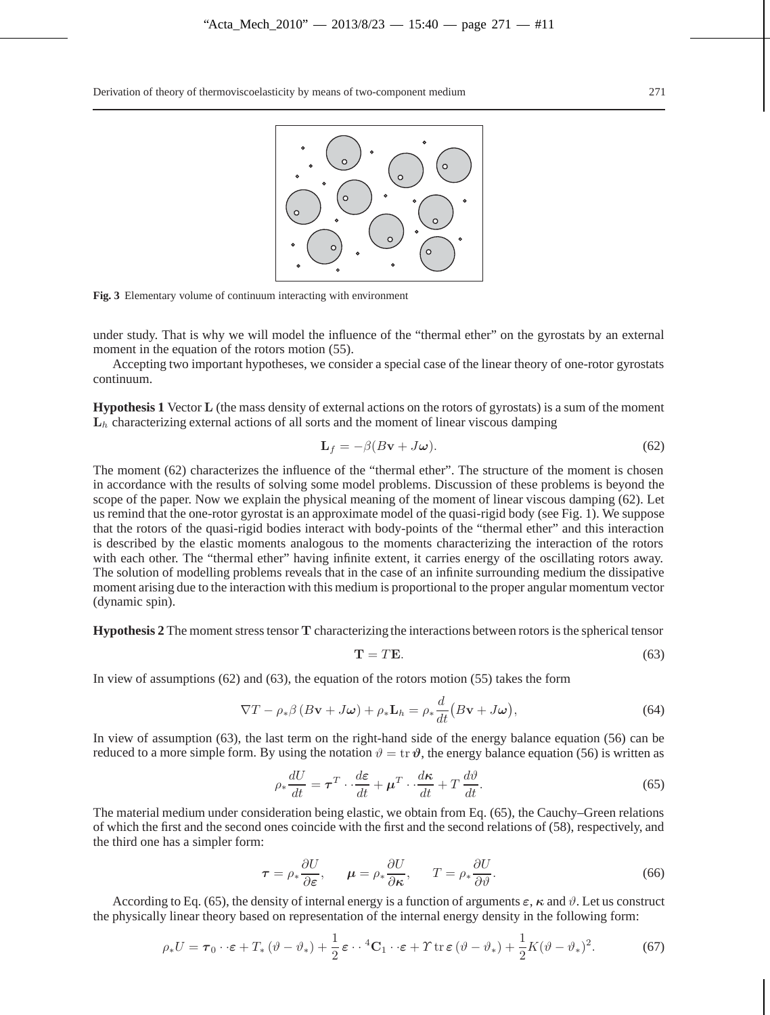

**Fig. 3** Elementary volume of continuum interacting with environment

under study. That is why we will model the influence of the "thermal ether" on the gyrostats by an external moment in the equation of the rotors motion  $(55)$ .

Accepting two important hypotheses, we consider a special case of the linear theory of one-rotor gyrostats continuum.

**Hypothesis 1** Vector **L** (the mass density of external actions on the rotors of gyrostats) is a sum of the moment  $L<sub>h</sub>$  characterizing external actions of all sorts and the moment of linear viscous damping

$$
\mathbf{L}_f = -\beta (B\mathbf{v} + J\boldsymbol{\omega}).\tag{62}
$$

The moment (62) characterizes the influence of the "thermal ether". The structure of the moment is chosen in accordance with the results of solving some model problems. Discussion of these problems is beyond the scope of the paper. Now we explain the physical meaning of the moment of linear viscous damping (62). Let us remind that the one-rotor gyrostat is an approximate model of the quasi-rigid body (see Fig. 1). We suppose that the rotors of the quasi-rigid bodies interact with body-points of the "thermal ether" and this interaction is described by the elastic moments analogous to the moments characterizing the interaction of the rotors with each other. The "thermal ether" having infinite extent, it carries energy of the oscillating rotors away. The solution of modelling problems reveals that in the case of an infinite surrounding medium the dissipative moment arising due to the interaction with this medium is proportional to the proper angular momentum vector (dynamic spin).

**Hypothesis 2** The moment stress tensor **T** characterizing the interactions between rotors is the spherical tensor

$$
\mathbf{T} = T\mathbf{E}.\tag{63}
$$

In view of assumptions (62) and (63), the equation of the rotors motion (55) takes the form

$$
\nabla T - \rho_* \beta \left( B \mathbf{v} + J \boldsymbol{\omega} \right) + \rho_* \mathbf{L}_h = \rho_* \frac{d}{dt} \left( B \mathbf{v} + J \boldsymbol{\omega} \right),\tag{64}
$$

In view of assumption (63), the last term on the right-hand side of the energy balance equation (56) can be reduced to a more simple form. By using the notation  $\vartheta = \text{tr}\,\vartheta$ , the energy balance equation (56) is written as

$$
\rho_* \frac{dU}{dt} = \tau^T \cdot \frac{d\varepsilon}{dt} + \mu^T \cdot \frac{d\kappa}{dt} + T \frac{d\vartheta}{dt}.
$$
\n(65)

The material medium under consideration being elastic, we obtain from Eq. (65), the Cauchy–Green relations of which the first and the second ones coincide with the first and the second relations of (58), respectively, and the third one has a simpler form:

$$
\tau = \rho_* \frac{\partial U}{\partial \varepsilon}, \qquad \mu = \rho_* \frac{\partial U}{\partial \kappa}, \qquad T = \rho_* \frac{\partial U}{\partial \vartheta}.
$$
 (66)

According to Eq. (65), the density of internal energy is a function of arguments  $\varepsilon$ ,  $\kappa$  and  $\vartheta$ . Let us construct the physically linear theory based on representation of the internal energy density in the following form:

$$
\rho_* U = \boldsymbol{\tau}_0 \cdot \boldsymbol{\varepsilon} + T_* \left( \vartheta - \vartheta_* \right) + \frac{1}{2} \boldsymbol{\varepsilon} \cdot \boldsymbol{\cdot}^4 \mathbf{C}_1 \cdot \boldsymbol{\varepsilon} + \boldsymbol{\Upsilon} \operatorname{tr} \boldsymbol{\varepsilon} \left( \vartheta - \vartheta_* \right) + \frac{1}{2} K (\vartheta - \vartheta_* )^2. \tag{67}
$$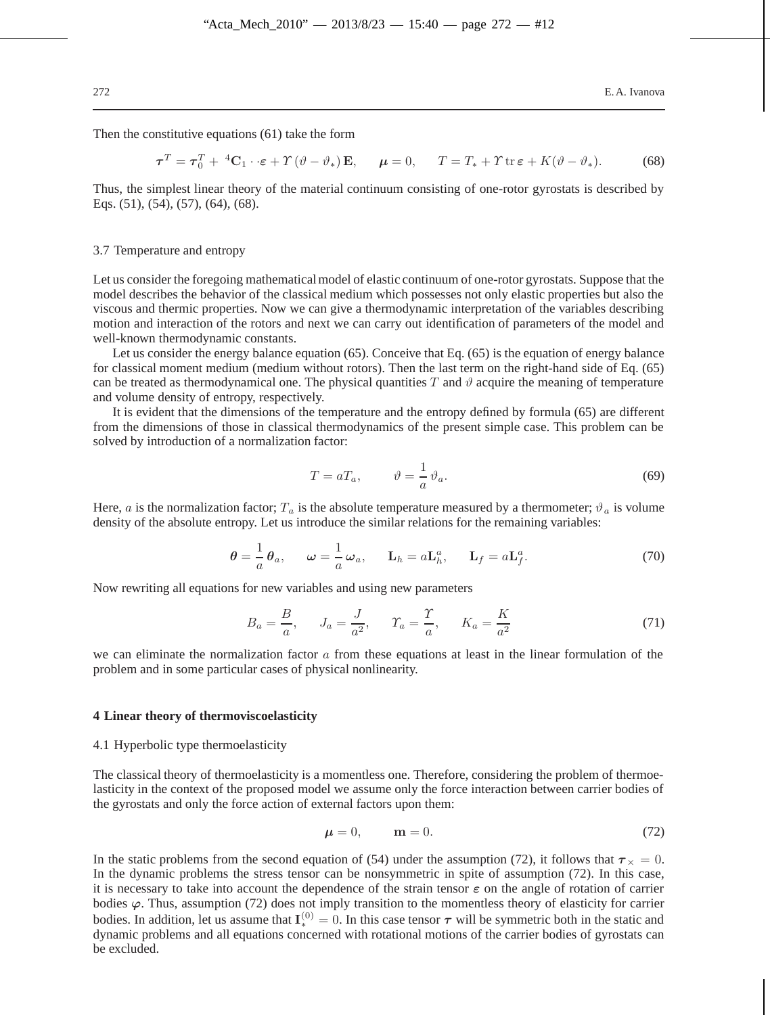Then the constitutive equations (61) take the form

$$
\boldsymbol{\tau}^T = \boldsymbol{\tau}_0^T + {}^{4}\mathbf{C}_1 \cdot \boldsymbol{\epsilon} + \boldsymbol{\Upsilon} (\vartheta - \vartheta_*) \mathbf{E}, \qquad \boldsymbol{\mu} = 0, \qquad \boldsymbol{T} = \boldsymbol{T}_* + \boldsymbol{\Upsilon} \operatorname{tr} \boldsymbol{\epsilon} + \boldsymbol{K} (\vartheta - \vartheta_*). \tag{68}
$$

Thus, the simplest linear theory of the material continuum consisting of one-rotor gyrostats is described by Eqs. (51), (54), (57), (64), (68).

#### 3.7 Temperature and entropy

Let us consider the foregoing mathematical model of elastic continuum of one-rotor gyrostats. Suppose that the model describes the behavior of the classical medium which possesses not only elastic properties but also the viscous and thermic properties. Now we can give a thermodynamic interpretation of the variables describing motion and interaction of the rotors and next we can carry out identification of parameters of the model and well-known thermodynamic constants.

Let us consider the energy balance equation (65). Conceive that Eq. (65) is the equation of energy balance for classical moment medium (medium without rotors). Then the last term on the right-hand side of Eq. (65) can be treated as thermodynamical one. The physical quantities T and  $\vartheta$  acquire the meaning of temperature and volume density of entropy, respectively.

It is evident that the dimensions of the temperature and the entropy defined by formula (65) are different from the dimensions of those in classical thermodynamics of the present simple case. This problem can be solved by introduction of a normalization factor:

$$
T = aT_a, \qquad \vartheta = \frac{1}{a}\vartheta_a.
$$
\n(69)

Here, a is the normalization factor;  $T_a$  is the absolute temperature measured by a thermometer;  $\vartheta_a$  is volume density of the absolute entropy. Let us introduce the similar relations for the remaining variables:

$$
\theta = \frac{1}{a} \theta_a, \qquad \omega = \frac{1}{a} \omega_a, \qquad \mathbf{L}_h = a \mathbf{L}_h^a, \qquad \mathbf{L}_f = a \mathbf{L}_f^a. \tag{70}
$$

Now rewriting all equations for new variables and using new parameters

$$
B_a = \frac{B}{a}, \qquad J_a = \frac{J}{a^2}, \qquad \Upsilon_a = \frac{\Upsilon}{a}, \qquad K_a = \frac{K}{a^2} \tag{71}
$$

we can eliminate the normalization factor  $a$  from these equations at least in the linear formulation of the problem and in some particular cases of physical nonlinearity.

## **4 Linear theory of thermoviscoelasticity**

#### 4.1 Hyperbolic type thermoelasticity

The classical theory of thermoelasticity is a momentless one. Therefore, considering the problem of thermoelasticity in the context of the proposed model we assume only the force interaction between carrier bodies of the gyrostats and only the force action of external factors upon them:

$$
\mu = 0, \qquad \mathbf{m} = 0. \tag{72}
$$

In the static problems from the second equation of (54) under the assumption (72), it follows that  $\tau_{\times} = 0$ . In the dynamic problems the stress tensor can be nonsymmetric in spite of assumption (72). In this case, it is necessary to take into account the dependence of the strain tensor  $\varepsilon$  on the angle of rotation of carrier bodies *ϕ*. Thus, assumption (72) does not imply transition to the momentless theory of elasticity for carrier bodies. In addition, let us assume that  $\mathbf{I}_{*}^{(0)} = 0$ . In this case tensor  $\tau$  will be symmetric both in the static and dynamic problems and all equations concerned with rotational motions of the carrier bodies of gyrostats can be excluded.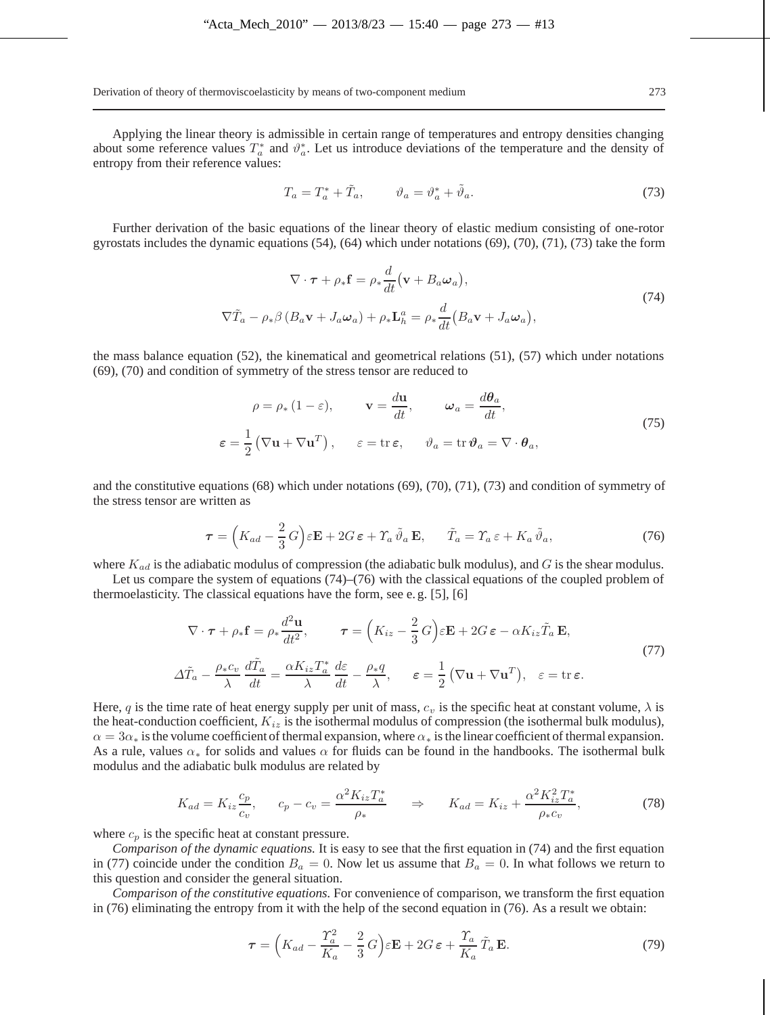Applying the linear theory is admissible in certain range of temperatures and entropy densities changing about some reference values  $T_a^*$  and  $\vartheta_a^*$ . Let us introduce deviations of the temperature and the density of entropy from their reference values:

$$
T_a = T_a^* + \tilde{T}_a, \qquad \vartheta_a = \vartheta_a^* + \tilde{\vartheta}_a. \tag{73}
$$

Further derivation of the basic equations of the linear theory of elastic medium consisting of one-rotor gyrostats includes the dynamic equations (54), (64) which under notations (69), (70), (71), (73) take the form

$$
\nabla \cdot \boldsymbol{\tau} + \rho_* \mathbf{f} = \rho_* \frac{d}{dt} (\mathbf{v} + B_a \boldsymbol{\omega}_a),
$$
  

$$
\nabla \tilde{T}_a - \rho_* \beta (B_a \mathbf{v} + J_a \boldsymbol{\omega}_a) + \rho_* \mathbf{L}_h^a = \rho_* \frac{d}{dt} (B_a \mathbf{v} + J_a \boldsymbol{\omega}_a),
$$
 (74)

the mass balance equation (52), the kinematical and geometrical relations (51), (57) which under notations (69), (70) and condition of symmetry of the stress tensor are reduced to

$$
\rho = \rho_* (1 - \varepsilon), \qquad \mathbf{v} = \frac{d\mathbf{u}}{dt}, \qquad \omega_a = \frac{d\theta_a}{dt},
$$
  

$$
\varepsilon = \frac{1}{2} (\nabla \mathbf{u} + \nabla \mathbf{u}^T), \qquad \varepsilon = \text{tr}\,\varepsilon, \qquad \vartheta_a = \text{tr}\,\vartheta_a = \nabla \cdot \theta_a,
$$
 (75)

and the constitutive equations (68) which under notations (69), (70), (71), (73) and condition of symmetry of the stress tensor are written as

$$
\boldsymbol{\tau} = \left( K_{ad} - \frac{2}{3} G \right) \varepsilon \mathbf{E} + 2G \, \boldsymbol{\varepsilon} + \Upsilon_a \, \tilde{\vartheta}_a \, \mathbf{E}, \qquad \tilde{T}_a = \Upsilon_a \, \varepsilon + K_a \, \tilde{\vartheta}_a,\tag{76}
$$

where  $K_{ad}$  is the adiabatic modulus of compression (the adiabatic bulk modulus), and G is the shear modulus.

Let us compare the system of equations (74)–(76) with the classical equations of the coupled problem of thermoelasticity. The classical equations have the form, see e. g. [5], [6]

$$
\nabla \cdot \boldsymbol{\tau} + \rho_* \mathbf{f} = \rho_* \frac{d^2 \mathbf{u}}{dt^2}, \qquad \boldsymbol{\tau} = \left( K_{iz} - \frac{2}{3} G \right) \varepsilon \mathbf{E} + 2G \, \boldsymbol{\varepsilon} - \alpha K_{iz} \tilde{T}_a \, \mathbf{E},
$$
  

$$
\Delta \tilde{T}_a - \frac{\rho_* c_v}{\lambda} \frac{d \tilde{T}_a}{dt} = \frac{\alpha K_{iz} T_a^*}{\lambda} \frac{d\varepsilon}{dt} - \frac{\rho_* q}{\lambda}, \qquad \varepsilon = \frac{1}{2} \left( \nabla \mathbf{u} + \nabla \mathbf{u}^T \right), \quad \varepsilon = \text{tr} \, \boldsymbol{\varepsilon}.
$$
 (77)

Here, q is the time rate of heat energy supply per unit of mass,  $c_v$  is the specific heat at constant volume,  $\lambda$  is the heat-conduction coefficient,  $K_{iz}$  is the isothermal modulus of compression (the isothermal bulk modulus),  $\alpha = 3\alpha_*$  is the volume coefficient of thermal expansion, where  $\alpha_*$  is the linear coefficient of thermal expansion. As a rule, values  $\alpha_*$  for solids and values  $\alpha$  for fluids can be found in the handbooks. The isothermal bulk modulus and the adiabatic bulk modulus are related by

$$
K_{ad} = K_{iz}\frac{c_p}{c_v}, \qquad c_p - c_v = \frac{\alpha^2 K_{iz} T_a^*}{\rho_*} \qquad \Rightarrow \qquad K_{ad} = K_{iz} + \frac{\alpha^2 K_{iz}^2 T_a^*}{\rho_* c_v},\tag{78}
$$

where  $c_p$  is the specific heat at constant pressure.

*Comparison of the dynamic equations.* It is easy to see that the first equation in (74) and the first equation in (77) coincide under the condition  $B_a = 0$ . Now let us assume that  $B_a = 0$ . In what follows we return to this question and consider the general situation.

*Comparison of the constitutive equations.* For convenience of comparison, we transform the first equation in (76) eliminating the entropy from it with the help of the second equation in (76). As a result we obtain:

$$
\boldsymbol{\tau} = \left( K_{ad} - \frac{\Upsilon_a^2}{K_a} - \frac{2}{3} G \right) \varepsilon \mathbf{E} + 2G \, \boldsymbol{\varepsilon} + \frac{\Upsilon_a}{K_a} \, \tilde{T}_a \, \mathbf{E}.
$$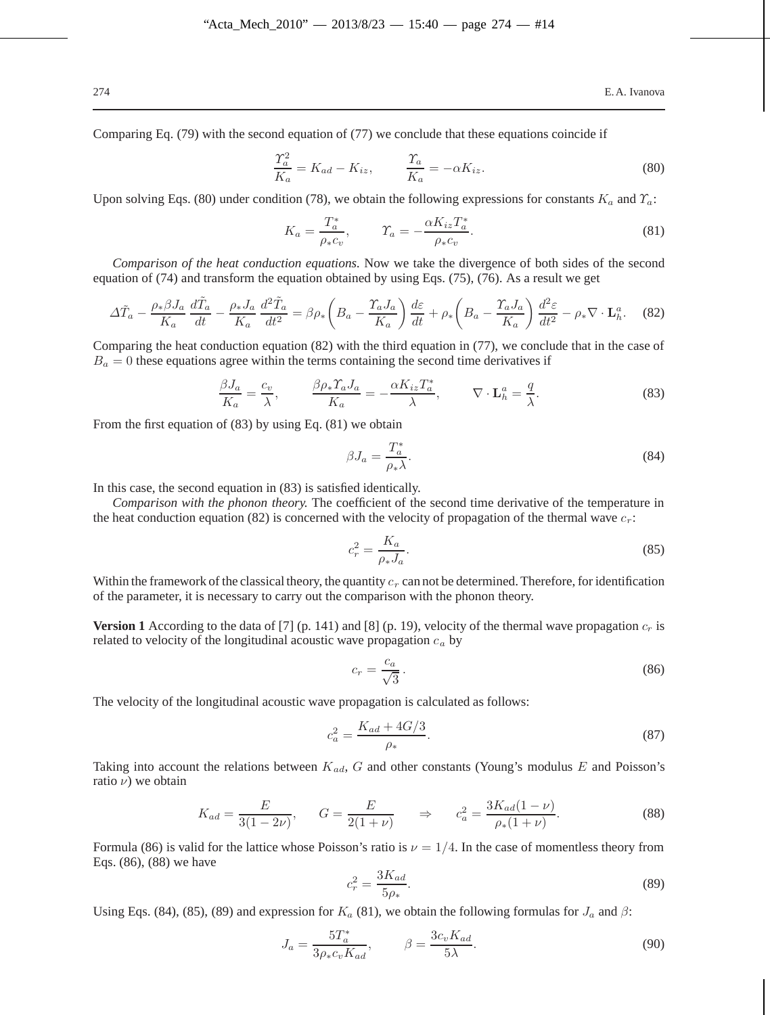Comparing Eq. (79) with the second equation of (77) we conclude that these equations coincide if

$$
\frac{\Upsilon_a^2}{K_a} = K_{ad} - K_{iz}, \qquad \frac{\Upsilon_a}{K_a} = -\alpha K_{iz}.
$$
\n(80)

Upon solving Eqs. (80) under condition (78), we obtain the following expressions for constants  $K_a$  and  $\Upsilon_a$ :

$$
K_a = \frac{T_a^*}{\rho_* c_v}, \qquad \Upsilon_a = -\frac{\alpha K_{iz} T_a^*}{\rho_* c_v}.
$$
\n
$$
(81)
$$

*Comparison of the heat conduction equations.* Now we take the divergence of both sides of the second equation of (74) and transform the equation obtained by using Eqs. (75), (76). As a result we get

$$
\Delta\tilde{T}_a - \frac{\rho_* \beta J_a}{K_a} \frac{d\tilde{T}_a}{dt} - \frac{\rho_* J_a}{K_a} \frac{d^2 \tilde{T}_a}{dt^2} = \beta \rho_* \left( B_a - \frac{\Upsilon_a J_a}{K_a} \right) \frac{d\varepsilon}{dt} + \rho_* \left( B_a - \frac{\Upsilon_a J_a}{K_a} \right) \frac{d^2 \varepsilon}{dt^2} - \rho_* \nabla \cdot \mathbf{L}_h^a. \tag{82}
$$

Comparing the heat conduction equation (82) with the third equation in (77), we conclude that in the case of  $B_a = 0$  these equations agree within the terms containing the second time derivatives if

$$
\frac{\beta J_a}{K_a} = \frac{c_v}{\lambda}, \qquad \frac{\beta \rho_* \Upsilon_a J_a}{K_a} = -\frac{\alpha K_{iz} T_a^*}{\lambda}, \qquad \nabla \cdot \mathbf{L}_h^a = \frac{q}{\lambda}.
$$
\n(83)

From the first equation of (83) by using Eq. (81) we obtain

$$
\beta J_a = \frac{T_a^*}{\rho_* \lambda}.\tag{84}
$$

In this case, the second equation in (83) is satisfied identically.

*Comparison with the phonon theory.* The coefficient of the second time derivative of the temperature in the heat conduction equation (82) is concerned with the velocity of propagation of the thermal wave  $c_r$ :

$$
c_r^2 = \frac{K_a}{\rho_* J_a}.\tag{85}
$$

Within the framework of the classical theory, the quantity  $c_r$  can not be determined. Therefore, for identification of the parameter, it is necessary to carry out the comparison with the phonon theory.

**Version 1** According to the data of [7] (p. 141) and [8] (p. 19), velocity of the thermal wave propagation  $c_r$  is related to velocity of the longitudinal acoustic wave propagation  $c_a$  by

$$
c_r = \frac{c_a}{\sqrt{3}}.\tag{86}
$$

The velocity of the longitudinal acoustic wave propagation is calculated as follows:

$$
c_a^2 = \frac{K_{ad} + 4G/3}{\rho_*}.\tag{87}
$$

Taking into account the relations between  $K_{ad}$ , G and other constants (Young's modulus E and Poisson's ratio  $\nu$ ) we obtain

$$
K_{ad} = \frac{E}{3(1-2\nu)}, \qquad G = \frac{E}{2(1+\nu)} \qquad \Rightarrow \qquad c_a^2 = \frac{3K_{ad}(1-\nu)}{\rho_*(1+\nu)}.
$$
 (88)

Formula (86) is valid for the lattice whose Poisson's ratio is  $\nu = 1/4$ . In the case of momentless theory from Eqs. (86), (88) we have

$$
c_r^2 = \frac{3K_{ad}}{5\rho_*}.
$$
\n(89)

Using Eqs. (84), (85), (89) and expression for  $K_a$  (81), we obtain the following formulas for  $J_a$  and  $\beta$ :

$$
J_a = \frac{5T_a^*}{3\rho_* c_v K_{ad}}, \qquad \beta = \frac{3c_v K_{ad}}{5\lambda}.
$$
 (90)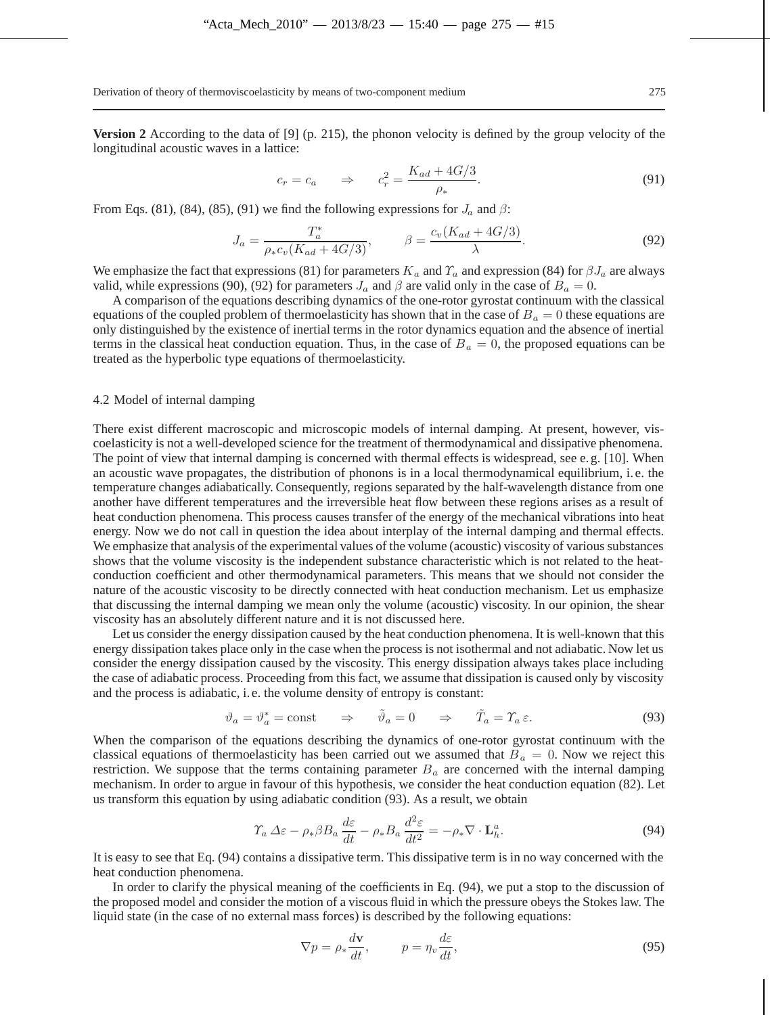**Version 2** According to the data of [9] (p. 215), the phonon velocity is defined by the group velocity of the longitudinal acoustic waves in a lattice:

$$
c_r = c_a \qquad \Rightarrow \qquad c_r^2 = \frac{K_{ad} + 4G/3}{\rho_*}.
$$
\n
$$
(91)
$$

From Eqs. (81), (84), (85), (91) we find the following expressions for  $J_a$  and  $\beta$ :

$$
J_a = \frac{T_a^*}{\rho_* c_v (K_{ad} + 4G/3)}, \qquad \beta = \frac{c_v (K_{ad} + 4G/3)}{\lambda}.
$$
 (92)

We emphasize the fact that expressions (81) for parameters  $K_a$  and  $\gamma_a$  and expression (84) for  $\beta J_a$  are always valid, while expressions (90), (92) for parameters  $J_a$  and  $\beta$  are valid only in the case of  $B_a = 0$ .

A comparison of the equations describing dynamics of the one-rotor gyrostat continuum with the classical equations of the coupled problem of thermoelasticity has shown that in the case of  $B<sub>a</sub> = 0$  these equations are only distinguished by the existence of inertial terms in the rotor dynamics equation and the absence of inertial terms in the classical heat conduction equation. Thus, in the case of  $B_a = 0$ , the proposed equations can be treated as the hyperbolic type equations of thermoelasticity.

# 4.2 Model of internal damping

There exist different macroscopic and microscopic models of internal damping. At present, however, viscoelasticity is not a well-developed science for the treatment of thermodynamical and dissipative phenomena. The point of view that internal damping is concerned with thermal effects is widespread, see e. g. [10]. When an acoustic wave propagates, the distribution of phonons is in a local thermodynamical equilibrium, i. e. the temperature changes adiabatically. Consequently, regions separated by the half-wavelength distance from one another have different temperatures and the irreversible heat flow between these regions arises as a result of heat conduction phenomena. This process causes transfer of the energy of the mechanical vibrations into heat energy. Now we do not call in question the idea about interplay of the internal damping and thermal effects. We emphasize that analysis of the experimental values of the volume (acoustic) viscosity of various substances shows that the volume viscosity is the independent substance characteristic which is not related to the heatconduction coefficient and other thermodynamical parameters. This means that we should not consider the nature of the acoustic viscosity to be directly connected with heat conduction mechanism. Let us emphasize that discussing the internal damping we mean only the volume (acoustic) viscosity. In our opinion, the shear viscosity has an absolutely different nature and it is not discussed here.

Let us consider the energy dissipation caused by the heat conduction phenomena. It is well-known that this energy dissipation takes place only in the case when the process is not isothermal and not adiabatic. Now let us consider the energy dissipation caused by the viscosity. This energy dissipation always takes place including the case of adiabatic process. Proceeding from this fact, we assume that dissipation is caused only by viscosity and the process is adiabatic, i. e. the volume density of entropy is constant:

$$
\vartheta_a = \vartheta_a^* = \text{const} \qquad \Rightarrow \qquad \tilde{\vartheta}_a = 0 \qquad \Rightarrow \qquad \tilde{T}_a = \Upsilon_a \,\varepsilon. \tag{93}
$$

When the comparison of the equations describing the dynamics of one-rotor gyrostat continuum with the classical equations of thermoelasticity has been carried out we assumed that  $B_a = 0$ . Now we reject this restriction. We suppose that the terms containing parameter  $B_a$  are concerned with the internal damping mechanism. In order to argue in favour of this hypothesis, we consider the heat conduction equation (82). Let us transform this equation by using adiabatic condition (93). As a result, we obtain

$$
\Upsilon_a \Delta \varepsilon - \rho_* \beta B_a \frac{d\varepsilon}{dt} - \rho_* B_a \frac{d^2 \varepsilon}{dt^2} = -\rho_* \nabla \cdot \mathbf{L}_h^a. \tag{94}
$$

It is easy to see that Eq. (94) contains a dissipative term. This dissipative term is in no way concerned with the heat conduction phenomena.

In order to clarify the physical meaning of the coefficients in Eq. (94), we put a stop to the discussion of the proposed model and consider the motion of a viscous fluid in which the pressure obeys the Stokes law. The liquid state (in the case of no external mass forces) is described by the following equations:

$$
\nabla p = \rho_* \frac{d\mathbf{v}}{dt}, \qquad p = \eta_v \frac{d\varepsilon}{dt}, \qquad (95)
$$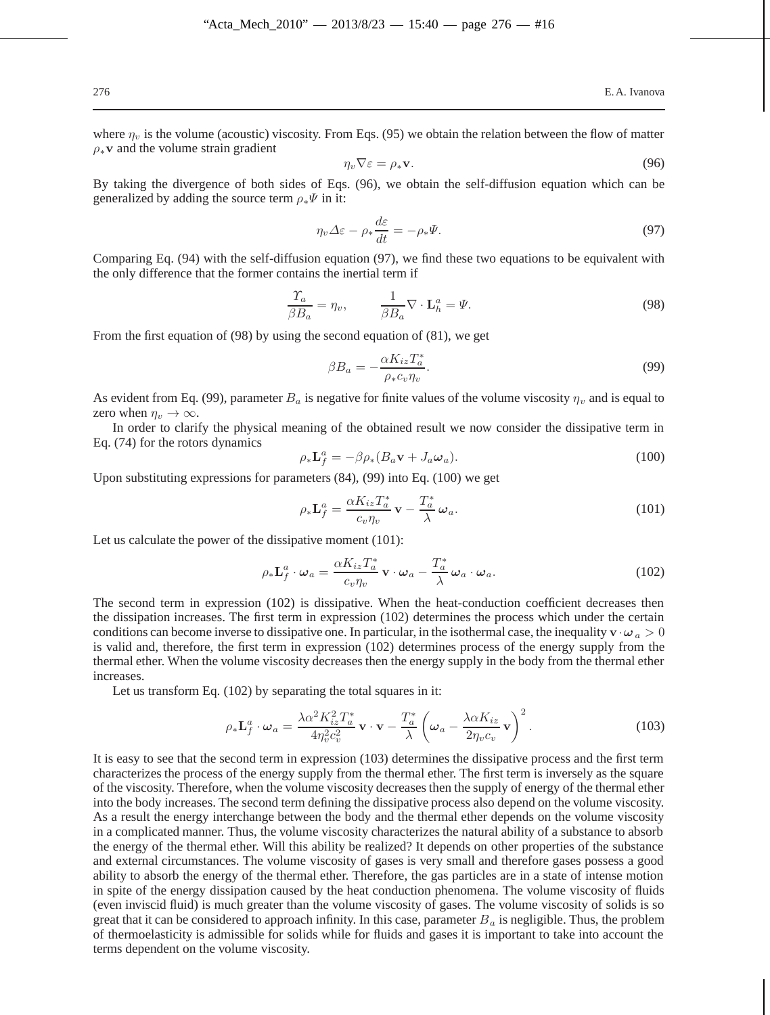where  $\eta_v$  is the volume (acoustic) viscosity. From Eqs. (95) we obtain the relation between the flow of matter  $\rho_*$ **v** and the volume strain gradient

$$
\eta_v \nabla \varepsilon = \rho_* \mathbf{v}.\tag{96}
$$

By taking the divergence of both sides of Eqs. (96), we obtain the self-diffusion equation which can be generalized by adding the source term  $\rho_* \Psi$  in it:

$$
\eta_v \Delta \varepsilon - \rho_* \frac{d\varepsilon}{dt} = -\rho_* \Psi. \tag{97}
$$

Comparing Eq. (94) with the self-diffusion equation (97), we find these two equations to be equivalent with the only difference that the former contains the inertial term if

$$
\frac{\Upsilon_a}{\beta B_a} = \eta_v, \qquad \frac{1}{\beta B_a} \nabla \cdot \mathbf{L}_h^a = \Psi.
$$
\n(98)

From the first equation of (98) by using the second equation of (81), we get

$$
\beta B_a = -\frac{\alpha K_{iz} T_a^*}{\rho_* c_v \eta_v}.
$$
\n(99)

As evident from Eq. (99), parameter  $B_a$  is negative for finite values of the volume viscosity  $\eta_v$  and is equal to zero when  $\eta_v \to \infty$ .

In order to clarify the physical meaning of the obtained result we now consider the dissipative term in Eq. (74) for the rotors dynamics

$$
\rho_* \mathbf{L}_f^a = -\beta \rho_* (B_a \mathbf{v} + J_a \boldsymbol{\omega}_a). \tag{100}
$$

Upon substituting expressions for parameters (84), (99) into Eq. (100) we get

$$
\rho_* \mathbf{L}_f^a = \frac{\alpha K_{iz} T_a^*}{c_v \eta_v} \mathbf{v} - \frac{T_a^*}{\lambda} \boldsymbol{\omega}_a.
$$
\n(101)

Let us calculate the power of the dissipative moment (101):

$$
\rho_* \mathbf{L}_f^a \cdot \boldsymbol{\omega}_a = \frac{\alpha K_{iz} T_a^*}{c_v \eta_v} \mathbf{v} \cdot \boldsymbol{\omega}_a - \frac{T_a^*}{\lambda} \boldsymbol{\omega}_a \cdot \boldsymbol{\omega}_a.
$$
 (102)

The second term in expression (102) is dissipative. When the heat-conduction coefficient decreases then the dissipation increases. The first term in expression (102) determines the process which under the certain conditions can become inverse to dissipative one. In particular, in the isothermal case, the inequality  $\mathbf{v} \cdot \mathbf{w}_a > 0$ is valid and, therefore, the first term in expression (102) determines process of the energy supply from the thermal ether. When the volume viscosity decreases then the energy supply in the body from the thermal ether increases.

Let us transform Eq. (102) by separating the total squares in it:

$$
\rho_* \mathbf{L}_f^a \cdot \boldsymbol{\omega}_a = \frac{\lambda \alpha^2 K_{iz}^2 T_a^*}{4 \eta_v^2 c_v^2} \mathbf{v} \cdot \mathbf{v} - \frac{T_a^*}{\lambda} \left( \boldsymbol{\omega}_a - \frac{\lambda \alpha K_{iz}}{2 \eta_v c_v} \mathbf{v} \right)^2.
$$
 (103)

It is easy to see that the second term in expression (103) determines the dissipative process and the first term characterizes the process of the energy supply from the thermal ether. The first term is inversely as the square of the viscosity. Therefore, when the volume viscosity decreases then the supply of energy of the thermal ether into the body increases. The second term defining the dissipative process also depend on the volume viscosity. As a result the energy interchange between the body and the thermal ether depends on the volume viscosity in a complicated manner. Thus, the volume viscosity characterizes the natural ability of a substance to absorb the energy of the thermal ether. Will this ability be realized? It depends on other properties of the substance and external circumstances. The volume viscosity of gases is very small and therefore gases possess a good ability to absorb the energy of the thermal ether. Therefore, the gas particles are in a state of intense motion in spite of the energy dissipation caused by the heat conduction phenomena. The volume viscosity of fluids (even inviscid fluid) is much greater than the volume viscosity of gases. The volume viscosity of solids is so great that it can be considered to approach infinity. In this case, parameter  $B_a$  is negligible. Thus, the problem of thermoelasticity is admissible for solids while for fluids and gases it is important to take into account the terms dependent on the volume viscosity.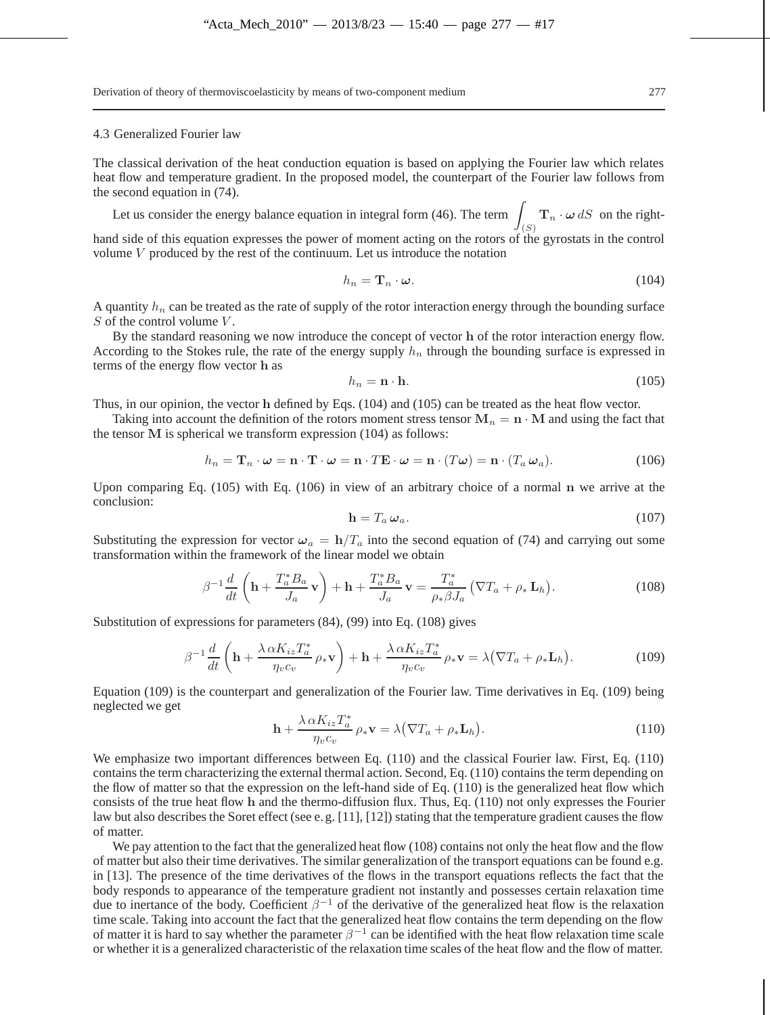# 4.3 Generalized Fourier law

The classical derivation of the heat conduction equation is based on applying the Fourier law which relates heat flow and temperature gradient. In the proposed model, the counterpart of the Fourier law follows from the second equation in (74).

Let us consider the energy balance equation in integral form (46). The term  $\int_{(S)}$  **T**<sub>n</sub> ·  $\omega$  dS on the righthand side of this equation expresses the power of moment acting on the rotors of the gyrostats in the control volume V produced by the rest of the continuum. Let us introduce the notation

$$
h_n = \mathbf{T}_n \cdot \boldsymbol{\omega}.\tag{104}
$$

A quantity  $h_n$  can be treated as the rate of supply of the rotor interaction energy through the bounding surface  $S$  of the control volume  $V$ .

By the standard reasoning we now introduce the concept of vector **h** of the rotor interaction energy flow. According to the Stokes rule, the rate of the energy supply  $h_n$  through the bounding surface is expressed in terms of the energy flow vector **h** as

$$
h_n = \mathbf{n} \cdot \mathbf{h}.\tag{105}
$$

Thus, in our opinion, the vector **h** defined by Eqs. (104) and (105) can be treated as the heat flow vector.

Taking into account the definition of the rotors moment stress tensor  $\mathbf{M}_n = \mathbf{n} \cdot \mathbf{M}$  and using the fact that the tensor **M** is spherical we transform expression (104) as follows:

$$
h_n = \mathbf{T}_n \cdot \boldsymbol{\omega} = \mathbf{n} \cdot \mathbf{T} \cdot \boldsymbol{\omega} = \mathbf{n} \cdot T \mathbf{E} \cdot \boldsymbol{\omega} = \mathbf{n} \cdot (T \boldsymbol{\omega}) = \mathbf{n} \cdot (T_a \boldsymbol{\omega}_a). \tag{106}
$$

Upon comparing Eq. (105) with Eq. (106) in view of an arbitrary choice of a normal **n** we arrive at the conclusion:

$$
\mathbf{h} = T_a \,\boldsymbol{\omega}_a. \tag{107}
$$

Substituting the expression for vector  $\omega_a = h/T_a$  into the second equation of (74) and carrying out some transformation within the framework of the linear model we obtain

$$
\beta^{-1} \frac{d}{dt} \left( \mathbf{h} + \frac{T_a^* B_a}{J_a} \mathbf{v} \right) + \mathbf{h} + \frac{T_a^* B_a}{J_a} \mathbf{v} = \frac{T_a^*}{\rho_* \beta J_a} \left( \nabla T_a + \rho_* \mathbf{L}_h \right).
$$
 (108)

Substitution of expressions for parameters (84), (99) into Eq. (108) gives

$$
\beta^{-1} \frac{d}{dt} \left( \mathbf{h} + \frac{\lambda \alpha K_{iz} T_a^*}{\eta_v c_v} \rho_* \mathbf{v} \right) + \mathbf{h} + \frac{\lambda \alpha K_{iz} T_a^*}{\eta_v c_v} \rho_* \mathbf{v} = \lambda (\nabla T_a + \rho_* \mathbf{L}_h).
$$
 (109)

Equation (109) is the counterpart and generalization of the Fourier law. Time derivatives in Eq. (109) being neglected we get

$$
\mathbf{h} + \frac{\lambda \alpha K_{iz} T_a^*}{\eta_v c_v} \rho_* \mathbf{v} = \lambda \big( \nabla T_a + \rho_* \mathbf{L}_h \big).
$$
 (110)

We emphasize two important differences between Eq. (110) and the classical Fourier law. First, Eq. (110) contains the term characterizing the external thermal action. Second, Eq. (110) contains the term depending on the flow of matter so that the expression on the left-hand side of Eq. (110) is the generalized heat flow which consists of the true heat flow **h** and the thermo-diffusion flux. Thus, Eq. (110) not only expresses the Fourier law but also describes the Soret effect (see e. g. [11], [12]) stating that the temperature gradient causes the flow of matter.

We pay attention to the fact that the generalized heat flow (108) contains not only the heat flow and the flow of matter but also their time derivatives. The similar generalization of the transport equations can be found e.g. in [13]. The presence of the time derivatives of the flows in the transport equations reflects the fact that the body responds to appearance of the temperature gradient not instantly and possesses certain relaxation time due to inertance of the body. Coefficient  $\beta^{-1}$  of the derivative of the generalized heat flow is the relaxation time scale. Taking into account the fact that the generalized heat flow contains the term depending on the flow of matter it is hard to say whether the parameter  $\beta^{-1}$  can be identified with the heat flow relaxation time scale or whether it is a generalized characteristic of the relaxation time scales of the heat flow and the flow of matter.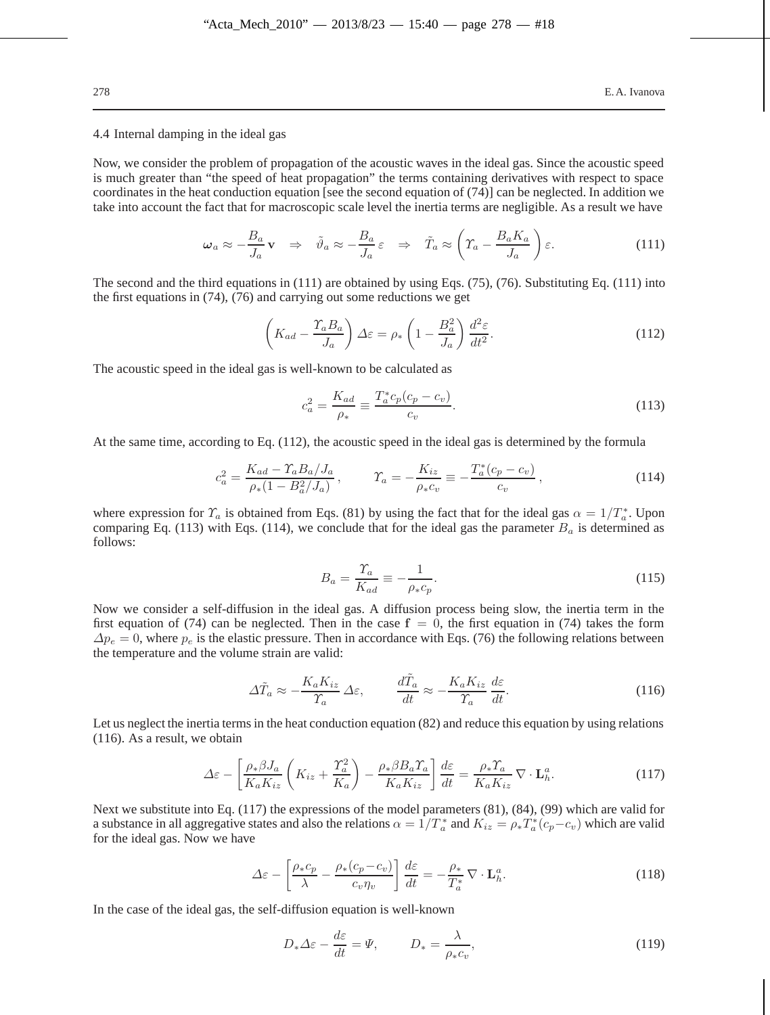## 4.4 Internal damping in the ideal gas

Now, we consider the problem of propagation of the acoustic waves in the ideal gas. Since the acoustic speed is much greater than "the speed of heat propagation" the terms containing derivatives with respect to space coordinates in the heat conduction equation [see the second equation of (74)] can be neglected. In addition we take into account the fact that for macroscopic scale level the inertia terms are negligible. As a result we have

$$
\omega_a \approx -\frac{B_a}{J_a} \mathbf{v} \Rightarrow \tilde{\vartheta}_a \approx -\frac{B_a}{J_a} \varepsilon \Rightarrow \tilde{T}_a \approx \left(\Upsilon_a - \frac{B_a K_a}{J_a}\right) \varepsilon. \tag{111}
$$

The second and the third equations in (111) are obtained by using Eqs. (75), (76). Substituting Eq. (111) into the first equations in (74), (76) and carrying out some reductions we get

$$
\left(K_{ad} - \frac{\Upsilon_a B_a}{J_a}\right) \Delta \varepsilon = \rho_* \left(1 - \frac{B_a^2}{J_a}\right) \frac{d^2 \varepsilon}{dt^2}.
$$
\n(112)

The acoustic speed in the ideal gas is well-known to be calculated as

$$
c_a^2 = \frac{K_{ad}}{\rho_*} \equiv \frac{T_a^* c_p (c_p - c_v)}{c_v}.
$$
 (113)

At the same time, according to Eq. (112), the acoustic speed in the ideal gas is determined by the formula

$$
c_a^2 = \frac{K_{ad} - \Upsilon_a B_a / J_a}{\rho_*(1 - B_a^2 / J_a)}, \qquad \Upsilon_a = -\frac{K_{iz}}{\rho_* c_v} = -\frac{T_a^*(c_p - c_v)}{c_v},\tag{114}
$$

where expression for  $\Upsilon_a$  is obtained from Eqs. (81) by using the fact that for the ideal gas  $\alpha = 1/T_a^*$ . Upon comparing Eq. (113) with Eqs. (114), we conclude that for the ideal gas the parameter  $B_a$  is determined as follows:

$$
B_a = \frac{\Upsilon_a}{K_{ad}} \equiv -\frac{1}{\rho_* c_p}.\tag{115}
$$

Now we consider a self-diffusion in the ideal gas. A diffusion process being slow, the inertia term in the first equation of (74) can be neglected. Then in the case  $f = 0$ , the first equation in (74) takes the form  $\Delta p_e = 0$ , where  $p_e$  is the elastic pressure. Then in accordance with Eqs. (76) the following relations between the temperature and the volume strain are valid:

$$
\Delta \tilde{T}_a \approx -\frac{K_a K_{iz}}{\Upsilon_a} \Delta \varepsilon, \qquad \frac{d\tilde{T}_a}{dt} \approx -\frac{K_a K_{iz}}{\Upsilon_a} \frac{d\varepsilon}{dt}.
$$
\n(116)

Let us neglect the inertia terms in the heat conduction equation (82) and reduce this equation by using relations (116). As a result, we obtain

$$
\Delta \varepsilon - \left[ \frac{\rho_* \beta J_a}{K_a K_{iz}} \left( K_{iz} + \frac{T_a^2}{K_a} \right) - \frac{\rho_* \beta B_a T_a}{K_a K_{iz}} \right] \frac{d\varepsilon}{dt} = \frac{\rho_* T_a}{K_a K_{iz}} \nabla \cdot \mathbf{L}_h^a.
$$
 (117)

Next we substitute into Eq. (117) the expressions of the model parameters (81), (84), (99) which are valid for a substance in all aggregative states and also the relations  $\alpha = 1/T_a^*$  and  $K_{iz} = \rho_* T_a^* (c_p - c_v)$  which are valid for the ideal gas. Now we have

$$
\Delta \varepsilon - \left[ \frac{\rho_* c_p}{\lambda} - \frac{\rho_* (c_p - c_v)}{c_v \eta_v} \right] \frac{d\varepsilon}{dt} = -\frac{\rho_*}{T_a^*} \nabla \cdot \mathbf{L}_h^a.
$$
\n(118)

In the case of the ideal gas, the self-diffusion equation is well-known

$$
D_*\Delta \varepsilon - \frac{d\varepsilon}{dt} = \Psi, \qquad D_* = \frac{\lambda}{\rho_* c_v},\tag{119}
$$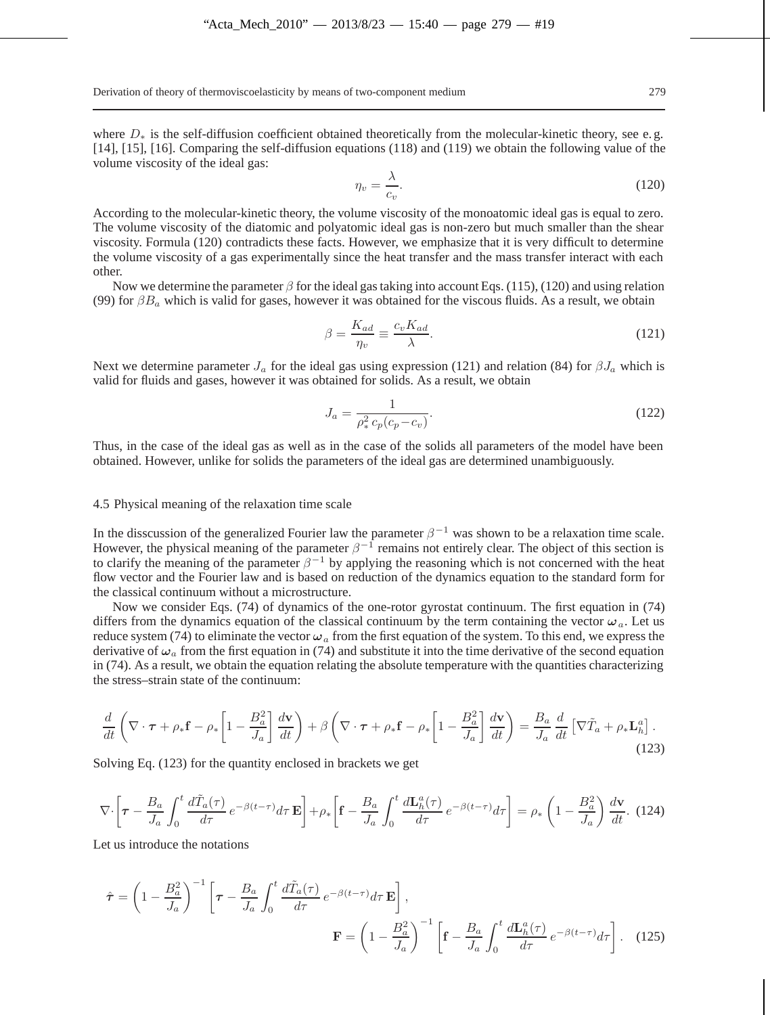where  $D_*$  is the self-diffusion coefficient obtained theoretically from the molecular-kinetic theory, see e.g. [14], [15], [16]. Comparing the self-diffusion equations (118) and (119) we obtain the following value of the volume viscosity of the ideal gas:

$$
\eta_v = \frac{\lambda}{c_v}.\tag{120}
$$

According to the molecular-kinetic theory, the volume viscosity of the monoatomic ideal gas is equal to zero. The volume viscosity of the diatomic and polyatomic ideal gas is non-zero but much smaller than the shear viscosity. Formula (120) contradicts these facts. However, we emphasize that it is very difficult to determine the volume viscosity of a gas experimentally since the heat transfer and the mass transfer interact with each other.

Now we determine the parameter  $\beta$  for the ideal gas taking into account Eqs. (115), (120) and using relation (99) for  $\beta B_a$  which is valid for gases, however it was obtained for the viscous fluids. As a result, we obtain

$$
\beta = \frac{K_{ad}}{\eta_v} \equiv \frac{c_v K_{ad}}{\lambda}.
$$
\n(121)

Next we determine parameter  $J_a$  for the ideal gas using expression (121) and relation (84) for  $\beta J_a$  which is valid for fluids and gases, however it was obtained for solids. As a result, we obtain

$$
J_a = \frac{1}{\rho_*^2 c_p (c_p - c_v)}.
$$
\n(122)

Thus, in the case of the ideal gas as well as in the case of the solids all parameters of the model have been obtained. However, unlike for solids the parameters of the ideal gas are determined unambiguously.

## 4.5 Physical meaning of the relaxation time scale

In the disscussion of the generalized Fourier law the parameter  $\beta^{-1}$  was shown to be a relaxation time scale. However, the physical meaning of the parameter  $\beta^{-1}$  remains not entirely clear. The object of this section is to clarify the meaning of the parameter  $\beta^{-1}$  by applying the reasoning which is not concerned with the heat flow vector and the Fourier law and is based on reduction of the dynamics equation to the standard form for the classical continuum without a microstructure.

Now we consider Eqs. (74) of dynamics of the one-rotor gyrostat continuum. The first equation in (74) differs from the dynamics equation of the classical continuum by the term containing the vector  $\omega_a$ . Let us reduce system (74) to eliminate the vector  $\omega_a$  from the first equation of the system. To this end, we express the derivative of  $\omega_a$  from the first equation in (74) and substitute it into the time derivative of the second equation in (74). As a result, we obtain the equation relating the absolute temperature with the quantities characterizing the stress–strain state of the continuum:

$$
\frac{d}{dt}\left(\nabla\cdot\boldsymbol{\tau}+\rho_{*}\mathbf{f}-\rho_{*}\left[1-\frac{B_{a}^{2}}{J_{a}}\right]\frac{d\mathbf{v}}{dt}\right)+\beta\left(\nabla\cdot\boldsymbol{\tau}+\rho_{*}\mathbf{f}-\rho_{*}\left[1-\frac{B_{a}^{2}}{J_{a}}\right]\frac{d\mathbf{v}}{dt}\right)=\frac{B_{a}}{J_{a}}\frac{d}{dt}\left[\nabla\tilde{T}_{a}+\rho_{*}\mathbf{L}_{h}^{a}\right].
$$
\n(123)

Solving Eq. (123) for the quantity enclosed in brackets we get

$$
\nabla \cdot \left[ \boldsymbol{\tau} - \frac{B_a}{J_a} \int_0^t \frac{d\tilde{T}_a(\boldsymbol{\tau})}{d\boldsymbol{\tau}} e^{-\beta(t-\boldsymbol{\tau})} d\boldsymbol{\tau} \mathbf{E} \right] + \rho_* \left[ \mathbf{f} - \frac{B_a}{J_a} \int_0^t \frac{d\mathbf{L}_h^a(\boldsymbol{\tau})}{d\boldsymbol{\tau}} e^{-\beta(t-\boldsymbol{\tau})} d\boldsymbol{\tau} \right] = \rho_* \left( 1 - \frac{B_a^2}{J_a} \right) \frac{d\mathbf{v}}{dt} . \tag{124}
$$

Let us introduce the notations

$$
\hat{\tau} = \left(1 - \frac{B_a^2}{J_a}\right)^{-1} \left[\tau - \frac{B_a}{J_a} \int_0^t \frac{d\tilde{T}_a(\tau)}{d\tau} e^{-\beta(t-\tau)} d\tau \mathbf{E}\right],
$$

$$
\mathbf{F} = \left(1 - \frac{B_a^2}{J_a}\right)^{-1} \left[\mathbf{f} - \frac{B_a}{J_a} \int_0^t \frac{d\mathbf{L}_h^a(\tau)}{d\tau} e^{-\beta(t-\tau)} d\tau\right].
$$
(125)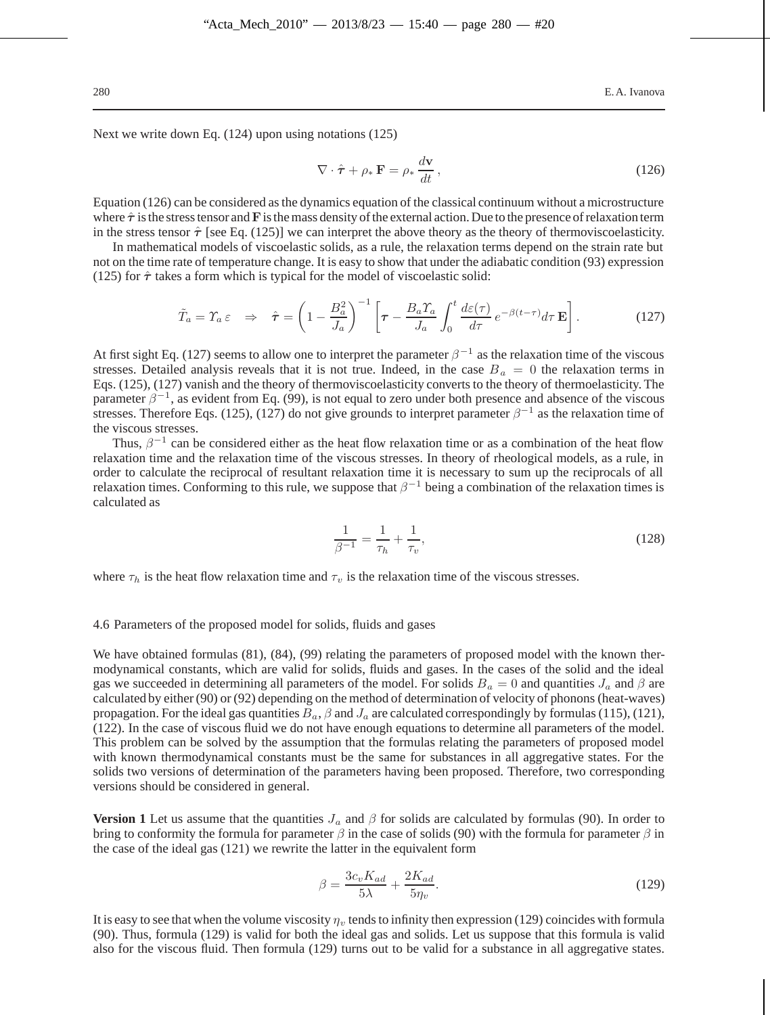Next we write down Eq. (124) upon using notations (125)

$$
\nabla \cdot \hat{\tau} + \rho_* \mathbf{F} = \rho_* \frac{d\mathbf{v}}{dt},
$$
\n(126)

Equation (126) can be considered as the dynamics equation of the classical continuum without a microstructure where *τ*ˆ is the stress tensor and**F**is the mass density of the external action. Due to the presence of relaxation term in the stress tensor *τ*ˆ [see Eq. (125)] we can interpret the above theory as the theory of thermoviscoelasticity.

In mathematical models of viscoelastic solids, as a rule, the relaxation terms depend on the strain rate but not on the time rate of temperature change. It is easy to show that under the adiabatic condition (93) expression (125) for  $\hat{\tau}$  takes a form which is typical for the model of viscoelastic solid:

$$
\tilde{T}_a = \Upsilon_a \,\varepsilon \quad \Rightarrow \quad \hat{\boldsymbol{\tau}} = \left(1 - \frac{B_a^2}{J_a}\right)^{-1} \left[\boldsymbol{\tau} - \frac{B_a \Upsilon_a}{J_a} \int_0^t \frac{d\varepsilon(\boldsymbol{\tau})}{d\boldsymbol{\tau}} \, e^{-\beta(t-\boldsymbol{\tau})} d\boldsymbol{\tau} \, \mathbf{E}\right].\tag{127}
$$

At first sight Eq. (127) seems to allow one to interpret the parameter  $\beta^{-1}$  as the relaxation time of the viscous stresses. Detailed analysis reveals that it is not true. Indeed, in the case  $B_a = 0$  the relaxation terms in Eqs. (125), (127) vanish and the theory of thermoviscoelasticity converts to the theory of thermoelasticity. The parameter  $\beta^{-1}$ , as evident from Eq. (99), is not equal to zero under both presence and absence of the viscous stresses. Therefore Eqs. (125), (127) do not give grounds to interpret parameter  $\beta^{-1}$  as the relaxation time of the viscous stresses.

Thus,  $\beta^{-1}$  can be considered either as the heat flow relaxation time or as a combination of the heat flow relaxation time and the relaxation time of the viscous stresses. In theory of rheological models, as a rule, in order to calculate the reciprocal of resultant relaxation time it is necessary to sum up the reciprocals of all relaxation times. Conforming to this rule, we suppose that  $\beta^{-1}$  being a combination of the relaxation times is calculated as

$$
\frac{1}{\beta^{-1}} = \frac{1}{\tau_h} + \frac{1}{\tau_v},\tag{128}
$$

where  $\tau_h$  is the heat flow relaxation time and  $\tau_v$  is the relaxation time of the viscous stresses.

## 4.6 Parameters of the proposed model for solids, fluids and gases

We have obtained formulas  $(81)$ ,  $(84)$ ,  $(99)$  relating the parameters of proposed model with the known thermodynamical constants, which are valid for solids, fluids and gases. In the cases of the solid and the ideal gas we succeeded in determining all parameters of the model. For solids  $B_a = 0$  and quantities  $J_a$  and  $\beta$  are calculated by either (90) or (92) depending on the method of determination of velocity of phonons (heat-waves) propagation. For the ideal gas quantities  $B_a$ ,  $\beta$  and  $J_a$  are calculated correspondingly by formulas (115), (121), (122). In the case of viscous fluid we do not have enough equations to determine all parameters of the model. This problem can be solved by the assumption that the formulas relating the parameters of proposed model with known thermodynamical constants must be the same for substances in all aggregative states. For the solids two versions of determination of the parameters having been proposed. Therefore, two corresponding versions should be considered in general.

**Version 1** Let us assume that the quantities  $J_a$  and  $\beta$  for solids are calculated by formulas (90). In order to bring to conformity the formula for parameter  $\beta$  in the case of solids (90) with the formula for parameter  $\beta$  in the case of the ideal gas (121) we rewrite the latter in the equivalent form

$$
\beta = \frac{3c_v K_{ad}}{5\lambda} + \frac{2K_{ad}}{5\eta_v}.\tag{129}
$$

It is easy to see that when the volume viscosity  $\eta_v$  tends to infinity then expression (129) coincides with formula (90). Thus, formula (129) is valid for both the ideal gas and solids. Let us suppose that this formula is valid also for the viscous fluid. Then formula (129) turns out to be valid for a substance in all aggregative states.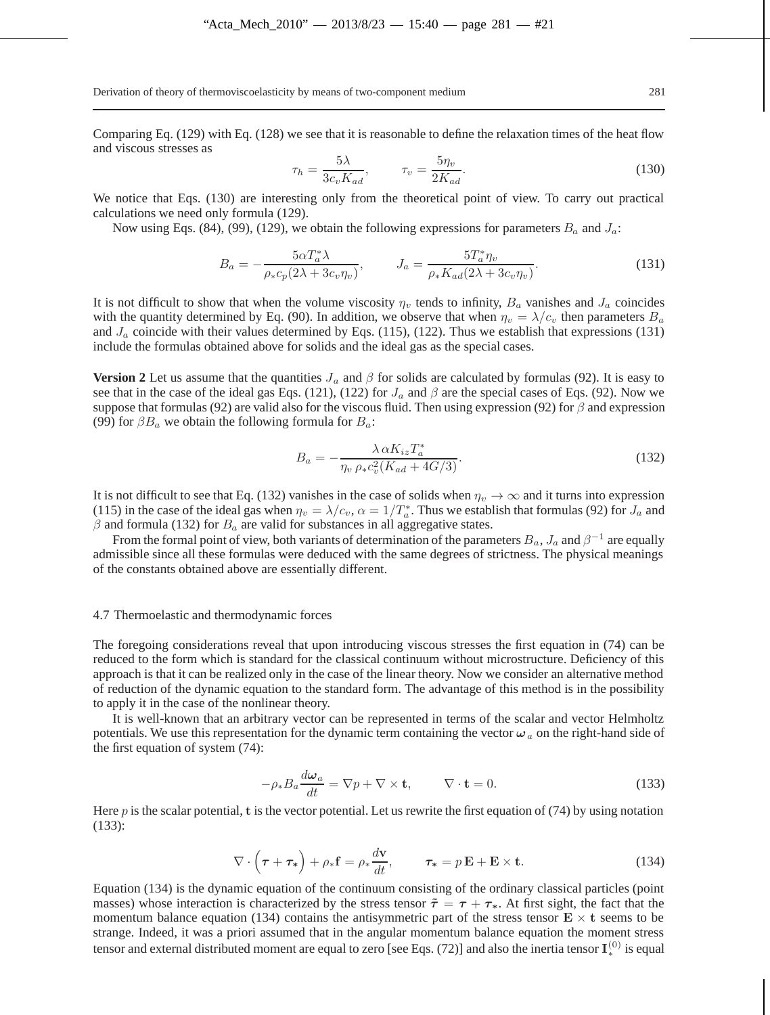Comparing Eq. (129) with Eq. (128) we see that it is reasonable to define the relaxation times of the heat flow and viscous stresses as

$$
\tau_h = \frac{5\lambda}{3c_v K_{ad}}, \qquad \tau_v = \frac{5\eta_v}{2K_{ad}}.\tag{130}
$$

We notice that Eqs. (130) are interesting only from the theoretical point of view. To carry out practical calculations we need only formula (129).

Now using Eqs. (84), (99), (129), we obtain the following expressions for parameters  $B_a$  and  $J_a$ :

$$
B_a = -\frac{5\alpha T_a^* \lambda}{\rho_* c_p (2\lambda + 3c_v \eta_v)}, \qquad J_a = \frac{5T_a^* \eta_v}{\rho_* K_{ad} (2\lambda + 3c_v \eta_v)}.
$$
(131)

It is not difficult to show that when the volume viscosity  $\eta_v$  tends to infinity,  $B_a$  vanishes and  $J_a$  coincides with the quantity determined by Eq. (90). In addition, we observe that when  $\eta_v = \lambda/c_v$  then parameters  $B_a$ and  $J_a$  coincide with their values determined by Eqs. (115), (122). Thus we establish that expressions (131) include the formulas obtained above for solids and the ideal gas as the special cases.

**Version 2** Let us assume that the quantities  $J_a$  and  $\beta$  for solids are calculated by formulas (92). It is easy to see that in the case of the ideal gas Eqs. (121), (122) for  $J_a$  and  $\beta$  are the special cases of Eqs. (92). Now we suppose that formulas (92) are valid also for the viscous fluid. Then using expression (92) for  $\beta$  and expression (99) for  $\beta B_a$  we obtain the following formula for  $B_a$ :

$$
B_a = -\frac{\lambda \alpha K_{iz} T_a^*}{\eta_v \rho_* c_v^2 (K_{ad} + 4G/3)}.
$$
\n(132)

It is not difficult to see that Eq. (132) vanishes in the case of solids when  $\eta_v \to \infty$  and it turns into expression (115) in the case of the ideal gas when  $\eta_v = \lambda/c_v$ ,  $\alpha = 1/T_a^*$ . Thus we establish that formulas (92) for  $J_a$  and  $\beta$  and formula (132) for  $B_a$  are valid for substances in all aggregative states.

From the formal point of view, both variants of determination of the parameters  $B_a$ ,  $J_a$  and  $\beta^{-1}$  are equally admissible since all these formulas were deduced with the same degrees of strictness. The physical meanings of the constants obtained above are essentially different.

## 4.7 Thermoelastic and thermodynamic forces

The foregoing considerations reveal that upon introducing viscous stresses the first equation in (74) can be reduced to the form which is standard for the classical continuum without microstructure. Deficiency of this approach is that it can be realized only in the case of the linear theory. Now we consider an alternative method of reduction of the dynamic equation to the standard form. The advantage of this method is in the possibility to apply it in the case of the nonlinear theory.

It is well-known that an arbitrary vector can be represented in terms of the scalar and vector Helmholtz potentials. We use this representation for the dynamic term containing the vector  $\omega_a$  on the right-hand side of the first equation of system (74):

$$
-\rho_* B_a \frac{d\omega_a}{dt} = \nabla p + \nabla \times \mathbf{t}, \qquad \nabla \cdot \mathbf{t} = 0.
$$
 (133)

Here p is the scalar potential, **t** is the vector potential. Let us rewrite the first equation of (74) by using notation (133):

$$
\nabla \cdot \left( \boldsymbol{\tau} + \boldsymbol{\tau}_{*} \right) + \rho_{*} \mathbf{f} = \rho_{*} \frac{d\mathbf{v}}{dt}, \qquad \boldsymbol{\tau}_{*} = p \mathbf{E} + \mathbf{E} \times \mathbf{t}.
$$
 (134)

Equation (134) is the dynamic equation of the continuum consisting of the ordinary classical particles (point masses) whose interaction is characterized by the stress tensor  $\tilde{\tau} = \tau + \tau_*$ . At first sight, the fact that the momentum balance equation (134) contains the antisymmetric part of the stress tensor  $\mathbf{E} \times \mathbf{t}$  seems to be strange. Indeed, it was a priori assumed that in the angular momentum balance equation the moment stress tensor and external distributed moment are equal to zero [see Eqs.  $(72)$ ] and also the inertia tensor  $\mathbf{I}_{*}^{(0)}$  is equal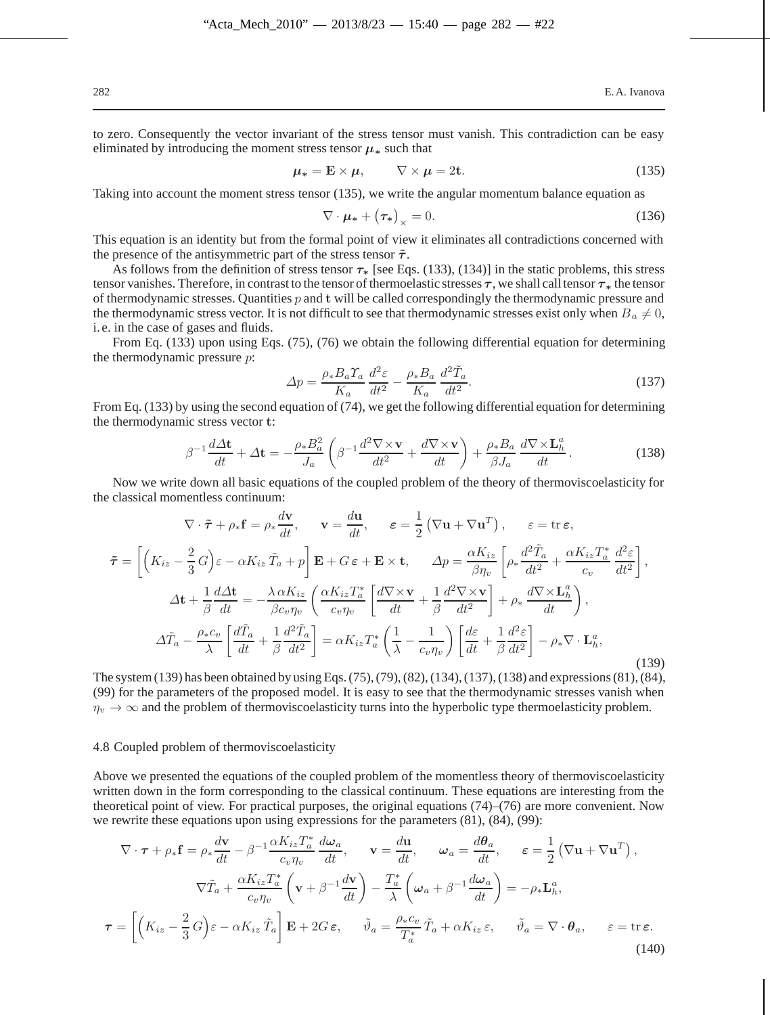to zero. Consequently the vector invariant of the stress tensor must vanish. This contradiction can be easy eliminated by introducing the moment stress tensor  $\mu_*$  such that

$$
\mu_* = \mathbf{E} \times \mu, \qquad \nabla \times \mu = 2t. \tag{135}
$$

Taking into account the moment stress tensor (135), we write the angular momentum balance equation as

$$
\nabla \cdot \boldsymbol{\mu}_{*} + (\boldsymbol{\tau}_{*})_{\times} = 0. \qquad (136)
$$

This equation is an identity but from the formal point of view it eliminates all contradictions concerned with the presence of the antisymmetric part of the stress tensor  $\tilde{\tau}$ .

As follows from the definition of stress tensor  $\tau_{*}$  [see Eqs. (133), (134)] in the static problems, this stress tensor vanishes. Therefore, in contrast to the tensor of thermoelastic stresses *τ* , we shall call tensor *τ<sup>∗</sup>* the tensor of thermodynamic stresses. Quantities p and **t** will be called correspondingly the thermodynamic pressure and the thermodynamic stress vector. It is not difficult to see that thermodynamic stresses exist only when  $B_a \neq 0$ , i. e. in the case of gases and fluids.

From Eq. (133) upon using Eqs. (75), (76) we obtain the following differential equation for determining the thermodynamic pressure p:

$$
\Delta p = \frac{\rho_* B_a \Upsilon_a}{K_a} \frac{d^2 \varepsilon}{dt^2} - \frac{\rho_* B_a}{K_a} \frac{d^2 \tilde{T}_a}{dt^2}.
$$
\n(137)

From Eq. (133) by using the second equation of (74), we get the following differential equation for determining the thermodynamic stress vector **t**:

$$
\beta^{-1}\frac{d\Delta t}{dt} + \Delta t = -\frac{\rho_* B_a^2}{J_a} \left( \beta^{-1}\frac{d^2 \nabla \times \mathbf{v}}{dt^2} + \frac{d \nabla \times \mathbf{v}}{dt} \right) + \frac{\rho_* B_a}{\beta J_a} \frac{d \nabla \times \mathbf{L}_h^a}{dt} \,. \tag{138}
$$

Now we write down all basic equations of the coupled problem of the theory of thermoviscoelasticity for the classical momentless continuum:

$$
\nabla \cdot \tilde{\boldsymbol{\tau}} + \rho_{*} \mathbf{f} = \rho_{*} \frac{d\mathbf{v}}{dt}, \qquad \mathbf{v} = \frac{d\mathbf{u}}{dt}, \qquad \varepsilon = \frac{1}{2} \left( \nabla \mathbf{u} + \nabla \mathbf{u}^{T} \right), \qquad \varepsilon = \text{tr} \, \varepsilon,
$$
\n
$$
\tilde{\boldsymbol{\tau}} = \left[ \left( K_{iz} - \frac{2}{3} G \right) \varepsilon - \alpha K_{iz} \tilde{T}_{a} + p \right] \mathbf{E} + G \, \varepsilon + \mathbf{E} \times \mathbf{t}, \qquad \Delta p = \frac{\alpha K_{iz}}{\beta \eta_{v}} \left[ \rho_{*} \frac{d^{2} \tilde{T}_{a}}{dt^{2}} + \frac{\alpha K_{iz} T_{a}^{*}}{c_{v}} \frac{d^{2} \varepsilon}{dt^{2}} \right],
$$
\n
$$
\Delta \mathbf{t} + \frac{1}{\beta} \frac{d \Delta \mathbf{t}}{dt} = -\frac{\lambda \alpha K_{iz}}{\beta c_{v} \eta_{v}} \left( \frac{\alpha K_{iz} T_{a}^{*}}{c_{v} \eta_{v}} \left[ \frac{d \nabla \times \mathbf{v}}{dt} + \frac{1}{\beta} \frac{d^{2} \nabla \times \mathbf{v}}{dt^{2}} \right] + \rho_{*} \frac{d \nabla \times \mathbf{L}_{h}^{a}}{dt} \right),
$$
\n
$$
\Delta \tilde{T}_{a} - \frac{\rho_{*} c_{v}}{\lambda} \left[ \frac{d \tilde{T}_{a}}{dt} + \frac{1}{\beta} \frac{d^{2} \tilde{T}_{a}}{dt^{2}} \right] = \alpha K_{iz} T_{a}^{*} \left( \frac{1}{\lambda} - \frac{1}{c_{v} \eta_{v}} \right) \left[ \frac{d \varepsilon}{dt} + \frac{1}{\beta} \frac{d^{2} \varepsilon}{dt^{2}} \right] - \rho_{*} \nabla \cdot \mathbf{L}_{h}^{a}, \tag{139}
$$

The system (139) has been obtained by using Eqs. (75), (79), (82), (134), (137), (138) and expressions (81), (84), (99) for the parameters of the proposed model. It is easy to see that the thermodynamic stresses vanish when  $\eta_v \to \infty$  and the problem of thermoviscoelasticity turns into the hyperbolic type thermoelasticity problem.

### 4.8 Coupled problem of thermoviscoelasticity

Above we presented the equations of the coupled problem of the momentless theory of thermoviscoelasticity written down in the form corresponding to the classical continuum. These equations are interesting from the theoretical point of view. For practical purposes, the original equations (74)–(76) are more convenient. Now we rewrite these equations upon using expressions for the parameters  $(81)$ ,  $(84)$ ,  $(99)$ :

$$
\nabla \cdot \boldsymbol{\tau} + \rho_* \mathbf{f} = \rho_* \frac{d\mathbf{v}}{dt} - \beta^{-1} \frac{\alpha K_{iz} T_a^*}{c_v \eta_v} \frac{d\omega_a}{dt}, \qquad \mathbf{v} = \frac{d\mathbf{u}}{dt}, \qquad \omega_a = \frac{d\theta_a}{dt}, \qquad \varepsilon = \frac{1}{2} \left( \nabla \mathbf{u} + \nabla \mathbf{u}^T \right),
$$

$$
\nabla \tilde{T}_a + \frac{\alpha K_{iz} T_a^*}{c_v \eta_v} \left( \mathbf{v} + \beta^{-1} \frac{d\mathbf{v}}{dt} \right) - \frac{T_a^*}{\lambda} \left( \omega_a + \beta^{-1} \frac{d\omega_a}{dt} \right) = -\rho_* \mathbf{L}_h^a,
$$

$$
\boldsymbol{\tau} = \left[ \left( K_{iz} - \frac{2}{3} G \right) \varepsilon - \alpha K_{iz} \tilde{T}_a \right] \mathbf{E} + 2G \,\varepsilon, \qquad \tilde{\vartheta}_a = \frac{\rho_* c_v}{T_a^*} \tilde{T}_a + \alpha K_{iz} \,\varepsilon, \qquad \tilde{\vartheta}_a = \nabla \cdot \theta_a, \qquad \varepsilon = \text{tr}\,\varepsilon.
$$
(140)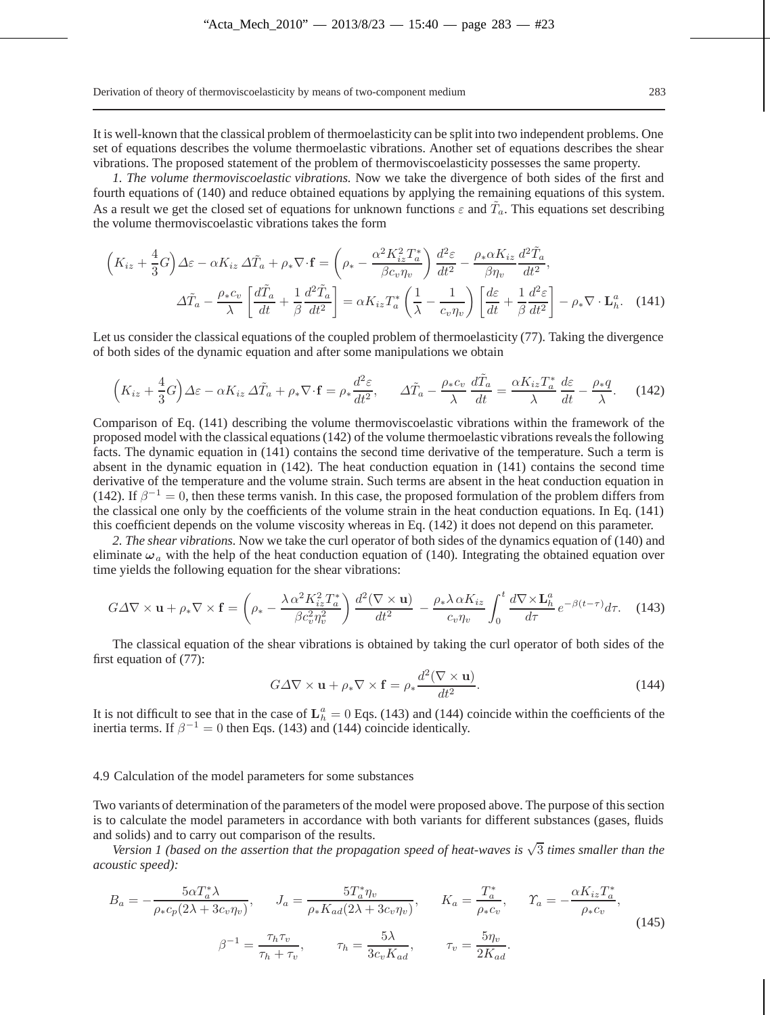It is well-known that the classical problem of thermoelasticity can be split into two independent problems. One set of equations describes the volume thermoelastic vibrations. Another set of equations describes the shear vibrations. The proposed statement of the problem of thermoviscoelasticity possesses the same property.

*1. The volume thermoviscoelastic vibrations.* Now we take the divergence of both sides of the first and fourth equations of (140) and reduce obtained equations by applying the remaining equations of this system. As a result we get the closed set of equations for unknown functions  $\varepsilon$  and  $\tilde{T}_a$ . This equations set describing the volume thermoviscoelastic vibrations takes the form

$$
\left(K_{iz} + \frac{4}{3}G\right)\Delta\varepsilon - \alpha K_{iz}\,\Delta\tilde{T}_a + \rho_*\nabla\cdot\mathbf{f} = \left(\rho_* - \frac{\alpha^2 K_{iz}^2 T_a^*}{\beta c_v \eta_v}\right)\frac{d^2\varepsilon}{dt^2} - \frac{\rho_*\alpha K_{iz}}{\beta \eta_v}\frac{d^2\tilde{T}_a}{dt^2},
$$
\n
$$
\Delta\tilde{T}_a - \frac{\rho_*c_v}{\lambda}\left[\frac{d\tilde{T}_a}{dt} + \frac{1}{\beta}\frac{d^2\tilde{T}_a}{dt^2}\right] = \alpha K_{iz}T_a^*\left(\frac{1}{\lambda} - \frac{1}{c_v\eta_v}\right)\left[\frac{d\varepsilon}{dt} + \frac{1}{\beta}\frac{d^2\varepsilon}{dt^2}\right] - \rho_*\nabla\cdot\mathbf{L}_h^a. \tag{141}
$$

Let us consider the classical equations of the coupled problem of thermoelasticity (77). Taking the divergence of both sides of the dynamic equation and after some manipulations we obtain

$$
\left(K_{iz} + \frac{4}{3}G\right)\Delta\varepsilon - \alpha K_{iz}\,\Delta\tilde{T}_a + \rho_*\nabla\cdot\mathbf{f} = \rho_*\frac{d^2\varepsilon}{dt^2}, \qquad \Delta\tilde{T}_a - \frac{\rho_*c_v}{\lambda}\,\frac{d\tilde{T}_a}{dt} = \frac{\alpha K_{iz}T_a^*}{\lambda}\,\frac{d\varepsilon}{dt} - \frac{\rho_*q}{\lambda}.\tag{142}
$$

Comparison of Eq. (141) describing the volume thermoviscoelastic vibrations within the framework of the proposed model with the classical equations (142) of the volume thermoelastic vibrations reveals the following facts. The dynamic equation in (141) contains the second time derivative of the temperature. Such a term is absent in the dynamic equation in (142). The heat conduction equation in (141) contains the second time derivative of the temperature and the volume strain. Such terms are absent in the heat conduction equation in (142). If  $\beta^{-1} = 0$ , then these terms vanish. In this case, the proposed formulation of the problem differs from the classical one only by the coefficients of the volume strain in the heat conduction equations. In Eq. (141) this coefficient depends on the volume viscosity whereas in Eq. (142) it does not depend on this parameter.

*2. The shear vibrations.* Now we take the curl operator of both sides of the dynamics equation of (140) and eliminate  $\omega_a$  with the help of the heat conduction equation of (140). Integrating the obtained equation over time yields the following equation for the shear vibrations:

$$
G\Delta\nabla \times \mathbf{u} + \rho_* \nabla \times \mathbf{f} = \left(\rho_* - \frac{\lambda \alpha^2 K_{iz}^2 T_a^*}{\beta c_v^2 \eta_v^2}\right) \frac{d^2(\nabla \times \mathbf{u})}{dt^2} - \frac{\rho_* \lambda \alpha K_{iz}}{c_v \eta_v} \int_0^t \frac{d\nabla \times \mathbf{L}_h^a}{d\tau} e^{-\beta(t-\tau)} d\tau. \tag{143}
$$

The classical equation of the shear vibrations is obtained by taking the curl operator of both sides of the first equation of (77):

$$
G\Delta\nabla \times \mathbf{u} + \rho_* \nabla \times \mathbf{f} = \rho_* \frac{d^2(\nabla \times \mathbf{u})}{dt^2}.
$$
 (144)

It is not difficult to see that in the case of  $L<sub>h</sub><sup>a</sup> = 0$  Eqs. (143) and (144) coincide within the coefficients of the inertia terms. If  $\beta^{-1} = 0$  then Eqs. (143) and (144) coincide identically.

## 4.9 Calculation of the model parameters for some substances

Two variants of determination of the parameters of the model were proposed above. The purpose of this section is to calculate the model parameters in accordance with both variants for different substances (gases, fluids and solids) and to carry out comparison of the results.

*Version 1 (based on the assertion that the propagation speed of heat-waves is*  $\sqrt{3}$  *times smaller than the acoustic speed):*

$$
B_a = -\frac{5\alpha T_a^* \lambda}{\rho_* c_p (2\lambda + 3c_v \eta_v)}, \qquad J_a = \frac{5T_a^* \eta_v}{\rho_* K_{ad} (2\lambda + 3c_v \eta_v)}, \qquad K_a = \frac{T_a^*}{\rho_* c_v}, \qquad \Upsilon_a = -\frac{\alpha K_{iz} T_a^*}{\rho_* c_v},
$$
  

$$
\beta^{-1} = \frac{\tau_h \tau_v}{\tau_h + \tau_v}, \qquad \tau_h = \frac{5\lambda}{3c_v K_{ad}}, \qquad \tau_v = \frac{5\eta_v}{2K_{ad}}.
$$
 (145)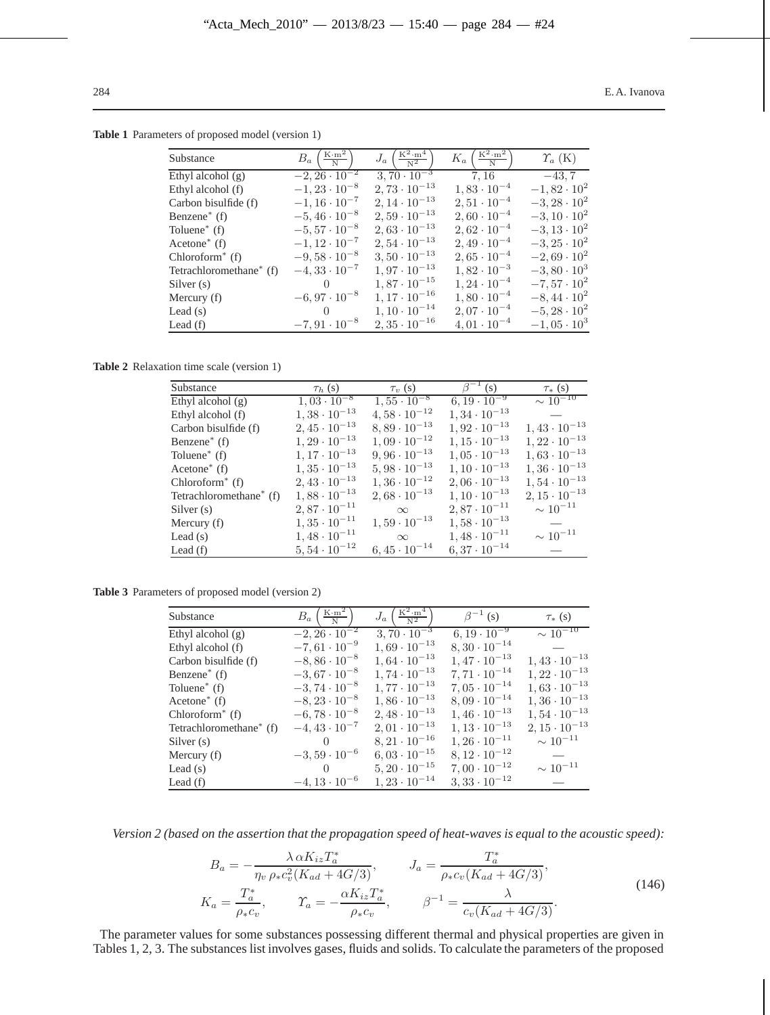**Table 1** Parameters of proposed model (version 1)

| Substance                           | $\frac{\text{K}\cdot\text{m}^2}{\text{N}}$<br>$B_a$ | $\frac{K^2 \cdot m^4}{N^2}$<br>$J_a$ | $\frac{K^2 \cdot m^2}{N}$<br>$K_a$ | $\varUpsilon_a$ (K)   |
|-------------------------------------|-----------------------------------------------------|--------------------------------------|------------------------------------|-----------------------|
| Ethyl alcohol $(g)$                 | $-2, 26 \cdot 10^{-2}$                              | $3,70 \cdot 10^{-3}$                 | 7, 16                              | $-43, 7$              |
| Ethyl alcohol (f)                   | $-1, 23 \cdot 10^{-8}$                              | $2,73 \cdot 10^{-13}$                | $1,83 \cdot 10^{-4}$               | $-1,82 \cdot 10^2$    |
| Carbon bisulfide (f)                | $-1, 16 \cdot 10^{-7}$                              | $2, 14 \cdot 10^{-13}$               | $2,51 \cdot 10^{-4}$               | $-3, 28 \cdot 10^2$   |
| Benzene <sup>*</sup> (f)            | $-5,46 \cdot 10^{-8}$                               | $2,59 \cdot 10^{-13}$                | $2,60 \cdot 10^{-4}$               | $-3, 10 \cdot 10^2$   |
| Toluene $*$ (f)                     | $-5,57 \cdot 10^{-8}$                               | $2,63 \cdot 10^{-13}$                | $2,62 \cdot 10^{-4}$               | $-3, 13 \cdot 10^2$   |
| Acetone $*$ (f)                     | $-1, 12 \cdot 10^{-7}$                              | $2,54 \cdot 10^{-13}$                | $2,49 \cdot 10^{-4}$               | $-3, 25 \cdot 10^2$   |
| Chloroform $*$ (f)                  | $-9,58 \cdot 10^{-8}$                               | $3,50 \cdot 10^{-13}$                | $2,65 \cdot 10^{-4}$               | $-2,69 \cdot 10^{2}$  |
| Tetrachloromethane <sup>*</sup> (f) | $-4,33 \cdot 10^{-7}$                               | $1,97 \cdot 10^{-13}$                | $1,82 \cdot 10^{-3}$               | $-3,80 \cdot 10^3$    |
| Silver $(s)$                        | $\Omega$                                            | $1,87 \cdot 10^{-15}$                | $1, 24 \cdot 10^{-4}$              | $-7,57 \cdot 10^{2}$  |
| Mercury (f)                         | $-6,97 \cdot 10^{-8}$                               | $1, 17 \cdot 10^{-16}$               | $1,80 \cdot 10^{-4}$               | $-8, 44 \cdot 10^{2}$ |
| Lead $(s)$                          | $\Omega$                                            | $1, 10 \cdot 10^{-14}$               | $2,07 \cdot 10^{-4}$               | $-5, 28 \cdot 10^2$   |
| Lead $(f)$                          | $-7,91 \cdot 10^{-8}$                               | $2,35 \cdot 10^{-16}$                | $4,01 \cdot 10^{-4}$               | $-1,05 \cdot 10^3$    |

**Table 2** Relaxation time scale (version 1)

| Substance                           | $\tau_h$ (s)                  | $\tau_v$ (s)          | $\overline{\beta}^{-1}$ (s) | $\tau_*$ (s)           |
|-------------------------------------|-------------------------------|-----------------------|-----------------------------|------------------------|
| Ethyl alcohol $(g)$                 | $1,03\cdot\overline{10^{-8}}$ | $1,55 \cdot 10^{-8}$  | $6, 19 \cdot 10^{-9}$       | $\sim 10^{-10}$        |
| Ethyl alcohol (f)                   | $1,38 \cdot 10^{-13}$         | $4,58 \cdot 10^{-12}$ | $1,34 \cdot 10^{-13}$       |                        |
| Carbon bisulfide (f)                | $2,45\cdot10^{-13}$           | $8,89 \cdot 10^{-13}$ | $1,92 \cdot 10^{-13}$       | $1,43 \cdot 10^{-13}$  |
| Benzene <sup>*</sup> (f)            | $1, 29 \cdot 10^{-13}$        | $1,09 \cdot 10^{-12}$ | $1, 15 \cdot 10^{-13}$      | $1,22 \cdot 10^{-13}$  |
| Toluene $*$ (f)                     | $1, 17 \cdot 10^{-13}$        | $9,96 \cdot 10^{-13}$ | $1,05 \cdot 10^{-13}$       | $1,63 \cdot 10^{-13}$  |
| Acetone $*$ (f)                     | $1,35 \cdot 10^{-13}$         | $5,98 \cdot 10^{-13}$ | $1, 10 \cdot 10^{-13}$      | $1,36 \cdot 10^{-13}$  |
| $Chloroform*$ (f)                   | $2,43 \cdot 10^{-13}$         | $1,36 \cdot 10^{-12}$ | $2,06 \cdot 10^{-13}$       | $1,54 \cdot 10^{-13}$  |
| Tetrachloromethane <sup>*</sup> (f) | $1,88 \cdot 10^{-13}$         | $2,68 \cdot 10^{-13}$ | $1, 10 \cdot 10^{-13}$      | $2, 15 \cdot 10^{-13}$ |
| Silver $(s)$                        | $2,87 \cdot 10^{-11}$         | $\infty$              | $2,87 \cdot 10^{-11}$       | $\sim 10^{-11}$        |
| Mercury (f)                         | $1,35 \cdot 10^{-11}$         | $1,59 \cdot 10^{-13}$ | $1,58 \cdot 10^{-13}$       |                        |
| Lead $(s)$                          | $1,48 \cdot 10^{-11}$         | $\infty$              | $1,48 \cdot 10^{-11}$       | $\sim 10^{-11}$        |
| Lead $(f)$                          | $5,54 \cdot 10^{-12}$         | $6,45 \cdot 10^{-14}$ | $6,37 \cdot 10^{-14}$       |                        |

**Table 3** Parameters of proposed model (version 2)

| Substance                           | $\frac{K \cdot m^2}{N}$<br>$B_a$ | $\frac{K^2 \cdot m^4}{N^2}$<br>$J_a$ | $\beta^{-1}$ (s)       | $\tau_{*}$ (s)         |
|-------------------------------------|----------------------------------|--------------------------------------|------------------------|------------------------|
| Ethyl alcohol $(g)$                 | $-2, 26 \cdot 10^{-2}$           | $3,70 \cdot 10^{-3}$                 | $6, 19 \cdot 10^{-9}$  | $\sim 10^{-10}$        |
| Ethyl alcohol (f)                   | $-7,61 \cdot 10^{-9}$            | $1,69 \cdot 10^{-13}$                | $8,30 \cdot 10^{-14}$  |                        |
| Carbon bisulfide (f)                | $-8,86 \cdot 10^{-8}$            | $1,64 \cdot 10^{-13}$                | $1,47 \cdot 10^{-13}$  | $1,43 \cdot 10^{-13}$  |
| Benzene <sup>*</sup> (f)            | $-3,67 \cdot 10^{-8}$            | $1,74 \cdot 10^{-13}$                | $7,71 \cdot 10^{-14}$  | $1,22 \cdot 10^{-13}$  |
| Toluene $*$ (f)                     | $-3,74 \cdot 10^{-8}$            | $1,77 \cdot 10^{-13}$                | $7,05 \cdot 10^{-14}$  | $1,63 \cdot 10^{-13}$  |
| Acetone $*$ (f)                     | $-8, 23 \cdot 10^{-8}$           | $1,86 \cdot 10^{-13}$                | $8,09 \cdot 10^{-14}$  | $1,36\cdot10^{-13}$    |
| $Chloroform*$ (f)                   | $-6,78 \cdot 10^{-8}$            | $2,48 \cdot 10^{-13}$                | $1,46 \cdot 10^{-13}$  | $1,54 \cdot 10^{-13}$  |
| Tetrachloromethane <sup>*</sup> (f) | $-4,43 \cdot 10^{-7}$            | $2,01 \cdot 10^{-13}$                | $1, 13 \cdot 10^{-13}$ | $2, 15 \cdot 10^{-13}$ |
| Silver(s)                           | $\left( \right)$                 | $8,21 \cdot 10^{-16}$                | $1, 26 \cdot 10^{-11}$ | $\sim 10^{-11}$        |
| Mercury (f)                         | $-3,59 \cdot 10^{-6}$            | $6,03\cdot10^{-15}$                  | $8, 12 \cdot 10^{-12}$ |                        |
| Lead $(s)$                          | $\Omega$                         | $5, 20 \cdot 10^{-15}$               | $7,00 \cdot 10^{-12}$  | $\sim 10^{-11}$        |
| Lead $(f)$                          | $-4, 13 \cdot 10^{-6}$           | $1,23 \cdot 10^{-14}$                | $3,33 \cdot 10^{-12}$  |                        |

*Version 2 (based on the assertion that the propagation speed of heat-waves is equal to the acoustic speed):*

$$
B_{a} = -\frac{\lambda \alpha K_{iz} T_{a}^{*}}{\eta_{v} \rho_{*} c_{v}^{2} (K_{ad} + 4G/3)}, \qquad J_{a} = \frac{T_{a}^{*}}{\rho_{*} c_{v} (K_{ad} + 4G/3)},
$$
  

$$
K_{a} = \frac{T_{a}^{*}}{\rho_{*} c_{v}}, \qquad \Upsilon_{a} = -\frac{\alpha K_{iz} T_{a}^{*}}{\rho_{*} c_{v}}, \qquad \beta^{-1} = \frac{\lambda}{c_{v} (K_{ad} + 4G/3)}.
$$
(146)

The parameter values for some substances possessing different thermal and physical properties are given in Tables 1, 2, 3. The substances list involves gases, fluids and solids. To calculate the parameters of the proposed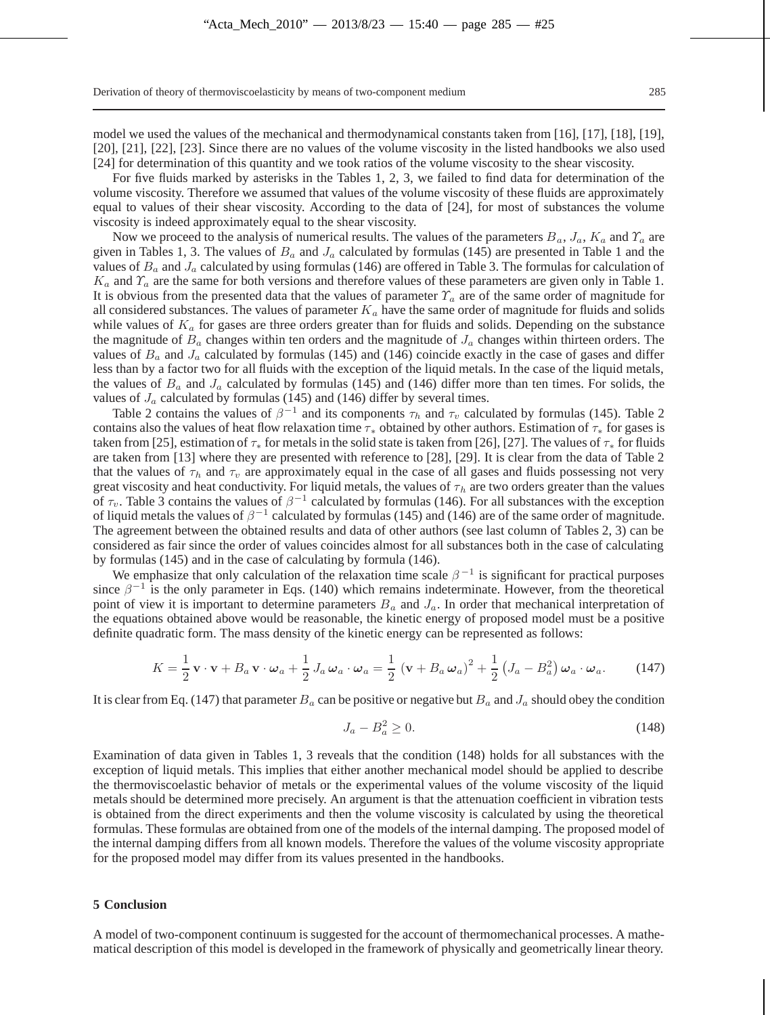model we used the values of the mechanical and thermodynamical constants taken from [16], [17], [18], [19], [20], [21], [22], [23]. Since there are no values of the volume viscosity in the listed handbooks we also used [24] for determination of this quantity and we took ratios of the volume viscosity to the shear viscosity.

For five fluids marked by asterisks in the Tables 1, 2, 3, we failed to find data for determination of the volume viscosity. Therefore we assumed that values of the volume viscosity of these fluids are approximately equal to values of their shear viscosity. According to the data of [24], for most of substances the volume viscosity is indeed approximately equal to the shear viscosity.

Now we proceed to the analysis of numerical results. The values of the parameters  $B_a$ ,  $J_a$ ,  $K_a$  and  $\Upsilon_a$  are given in Tables 1, 3. The values of  $B_a$  and  $J_a$  calculated by formulas (145) are presented in Table 1 and the values of  $B_a$  and  $J_a$  calculated by using formulas (146) are offered in Table 3. The formulas for calculation of  $K_a$  and  $\mathcal{T}_a$  are the same for both versions and therefore values of these parameters are given only in Table 1. It is obvious from the presented data that the values of parameter  $\mathcal{T}_a$  are of the same order of magnitude for all considered substances. The values of parameter  $K_a$  have the same order of magnitude for fluids and solids while values of  $K_a$  for gases are three orders greater than for fluids and solids. Depending on the substance the magnitude of  $B_a$  changes within ten orders and the magnitude of  $J_a$  changes within thirteen orders. The values of  $B_a$  and  $J_a$  calculated by formulas (145) and (146) coincide exactly in the case of gases and differ less than by a factor two for all fluids with the exception of the liquid metals. In the case of the liquid metals, the values of  $B_a$  and  $J_a$  calculated by formulas (145) and (146) differ more than ten times. For solids, the values of  $J_a$  calculated by formulas (145) and (146) differ by several times.

Table 2 contains the values of  $\beta^{-1}$  and its components  $\tau_h$  and  $\tau_v$  calculated by formulas (145). Table 2 contains also the values of heat flow relaxation time  $\tau_*$  obtained by other authors. Estimation of  $\tau_*$  for gases is taken from [25], estimation of  $\tau_*$  for metals in the solid state is taken from [26], [27]. The values of  $\tau_*$  for fluids are taken from [13] where they are presented with reference to [28], [29]. It is clear from the data of Table 2 that the values of  $\tau_h$  and  $\tau_v$  are approximately equal in the case of all gases and fluids possessing not very great viscosity and heat conductivity. For liquid metals, the values of  $\tau_h$  are two orders greater than the values of  $\tau_v$ . Table 3 contains the values of  $\beta^{-1}$  calculated by formulas (146). For all substances with the exception of liquid metals the values of  $\beta^{-1}$  calculated by formulas (145) and (146) are of the same order of magnitude. The agreement between the obtained results and data of other authors (see last column of Tables 2, 3) can be considered as fair since the order of values coincides almost for all substances both in the case of calculating by formulas (145) and in the case of calculating by formula (146).

We emphasize that only calculation of the relaxation time scale  $\beta^{-1}$  is significant for practical purposes since  $\beta^{-1}$  is the only parameter in Eqs. (140) which remains indeterminate. However, from the theoretical point of view it is important to determine parameters  $B_a$  and  $J_a$ . In order that mechanical interpretation of the equations obtained above would be reasonable, the kinetic energy of proposed model must be a positive definite quadratic form. The mass density of the kinetic energy can be represented as follows:

$$
K = \frac{1}{2}\mathbf{v}\cdot\mathbf{v} + B_a\mathbf{v}\cdot\boldsymbol{\omega}_a + \frac{1}{2}J_a\mathbf{w}_a\cdot\boldsymbol{\omega}_a = \frac{1}{2}\left(\mathbf{v} + B_a\mathbf{w}_a\right)^2 + \frac{1}{2}\left(J_a - B_a^2\right)\boldsymbol{\omega}_a\cdot\boldsymbol{\omega}_a.
$$
 (147)

It is clear from Eq. (147) that parameter  $B_a$  can be positive or negative but  $B_a$  and  $J_a$  should obey the condition

$$
J_a - B_a^2 \ge 0. \tag{148}
$$

Examination of data given in Tables 1, 3 reveals that the condition (148) holds for all substances with the exception of liquid metals. This implies that either another mechanical model should be applied to describe the thermoviscoelastic behavior of metals or the experimental values of the volume viscosity of the liquid metals should be determined more precisely. An argument is that the attenuation coefficient in vibration tests is obtained from the direct experiments and then the volume viscosity is calculated by using the theoretical formulas. These formulas are obtained from one of the models of the internal damping. The proposed model of the internal damping differs from all known models. Therefore the values of the volume viscosity appropriate for the proposed model may differ from its values presented in the handbooks.

### **5 Conclusion**

A model of two-component continuum is suggested for the account of thermomechanical processes. A mathematical description of this model is developed in the framework of physically and geometrically linear theory.